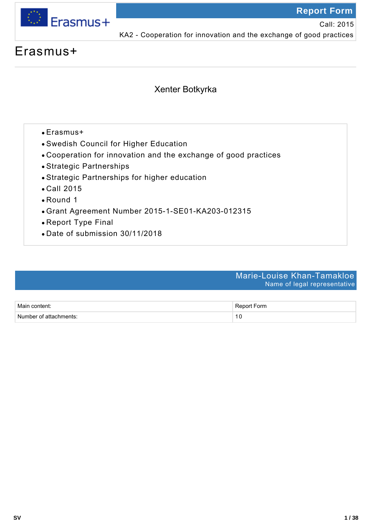

Call: 2015

KA2 - Cooperation for innovation and the exchange of good practices

# Erasmus+

## Xenter Botkyrka

- Erasmus+
- Swedish Council for Higher Education
- Cooperation for innovation and the exchange of good practices
- Strategic Partnerships
- Strategic Partnerships for higher education
- Call 2015
- Round 1
- Grant Agreement Number 2015-1-SE01-KA203-012315
- Report Type Final
- Date of submission 30/11/2018

### Marie-Louise Khan-Tamakloe Name of legal representative

| Main content:          | Report Form |
|------------------------|-------------|
| Number of attachments: |             |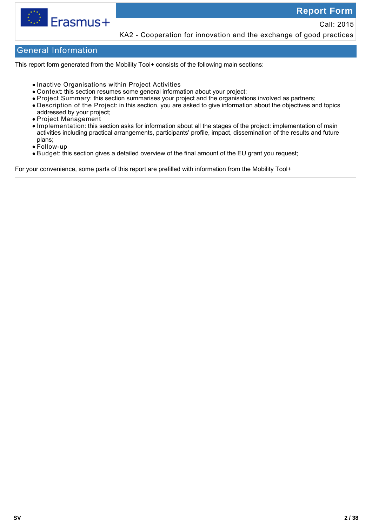

Call: 2015 KA2 - Cooperation for innovation and the exchange of good practices

### General Information

This report form generated from the Mobility Tool+ consists of the following main sections:

- Inactive Organisations within Project Activities
- Context: this section resumes some general information about your project;
- Project Summary: this section summarises your project and the organisations involved as partners;
- Description of the Project: in this section, you are asked to give information about the objectives and topics addressed by your project;
- Project Management
- Implementation: this section asks for information about all the stages of the project: implementation of main activities including practical arrangements, participants' profile, impact, dissemination of the results and future plans;
- Follow-up
- Budget: this section gives a detailed overview of the final amount of the EU grant you request;

For your convenience, some parts of this report are prefilled with information from the Mobility Tool+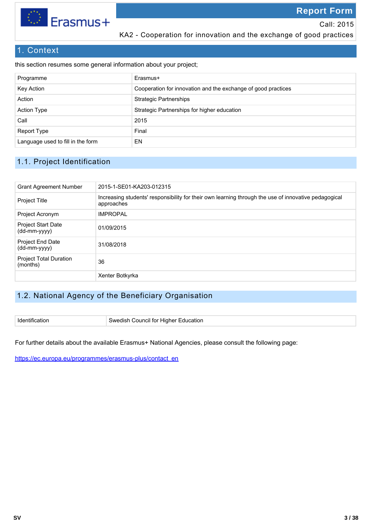

KA2 - Cooperation for innovation and the exchange of good practices

### 1. Context

this section resumes some general information about your project;

| Programme                         | Erasmus+                                                      |
|-----------------------------------|---------------------------------------------------------------|
| Key Action                        | Cooperation for innovation and the exchange of good practices |
| Action                            | <b>Strategic Partnerships</b>                                 |
| <b>Action Type</b>                | Strategic Partnerships for higher education                   |
| Call                              | 2015                                                          |
| Report Type                       | Final                                                         |
| Language used to fill in the form | EN                                                            |

### 1.1. Project Identification

| <b>Grant Agreement Number</b>             | 2015-1-SE01-KA203-012315                                                                                           |
|-------------------------------------------|--------------------------------------------------------------------------------------------------------------------|
| <b>Project Title</b>                      | Increasing students' responsibility for their own learning through the use of innovative pedagogical<br>approaches |
| Project Acronym                           | <b>IMPROPAL</b>                                                                                                    |
| <b>Project Start Date</b><br>(dd-mm-yyyy) | 01/09/2015                                                                                                         |
| <b>Project End Date</b><br>(dd-mm-yyyy)   | 31/08/2018                                                                                                         |
| <b>Project Total Duration</b><br>(months) | 36                                                                                                                 |
|                                           | Xenter Botkyrka                                                                                                    |

### 1.2. National Agency of the Beneficiary Organisation

Identification **Swedish Council for Higher Education** 

For further details about the available Erasmus+ National Agencies, please consult the following page:

https://ec.europa.eu/programmes/erasmus-plus/contact\_en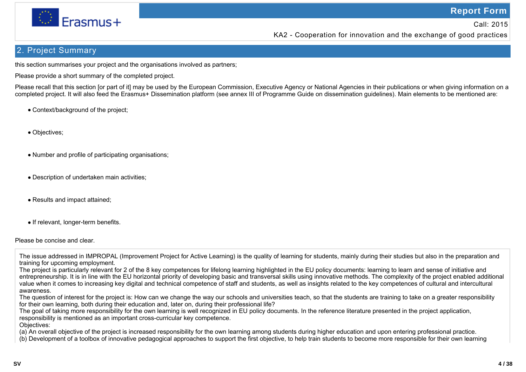

KA2 - Cooperation for innovation and the exchange of good practices

### 2. Project Summary

this section summarises your project and the organisations involved as partners;

Please provide a short summary of the completed project.

Please recall that this section [or part of it] may be used by the European Commission, Executive Agency or National Agencies in their publications or when giving information on a completed project. It will also feed the Erasmus+ Dissemination platform (see annex III of Programme Guide on dissemination guidelines). Main elements to be mentioned are:

- Context/background of the project:
- Objectives;
- Number and profile of participating organisations;
- Description of undertaken main activities;
- Results and impact attained;
- If relevant, longer-term benefits.

Please be concise and clear.

(b) Development of a toolbox of innovative pedagogical approaches to support the first objective, to help train students to become more responsible for their own learning

The issue addressed in IMPROPAL (Improvement Project for Active Learning) is the quality of learning for students, mainly during their studies but also in the preparation and training for upcoming employment.

The project is particularly relevant for 2 of the 8 key competences for lifelong learning highlighted in the EU policy documents: learning to learn and sense of initiative and entrepreneurship. It is in line with the EU horizontal priority of developing basic and transversal skills using innovative methods. The complexity of the project enabled additional value when it comes to increasing key digital and technical competence of staff and students, as well as insights related to the key competences of cultural and intercultural awareness.

The question of interest for the project is: How can we change the way our schools and universities teach, so that the students are training to take on a greater responsibility for their own learning, both during their education and, later on, during their professional life?

The goal of taking more responsibility for the own learning is well recognized in EU policy documents. In the reference literature presented in the project application, responsibility is mentioned as an important cross-curricular key competence.

Objectives:

<sup>(</sup>a) An overall objective of the project is increased responsibility for the own learning among students during higher education and upon entering professional practice.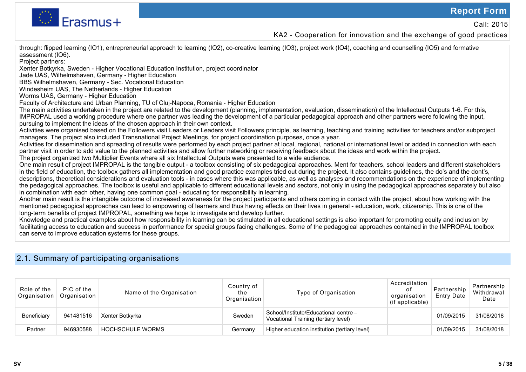

KA2 - Cooperation for innovation and the exchange of good practices

through: flipped learning (IO1), entrepreneurial approach to learning (IO2), co-creative learning (IO3), project work (IO4), coaching and counselling (IO5) and formative assessment (IO6).

Project partners:

Xenter Botkyrka, Sweden - Higher Vocational Education Institution, project coordinator

Jade UAS, Wilhelmshaven, Germany - Higher Education

BBS Wilhelmshaven, Germany - Sec. Vocational Education

Windesheim UAS, The Netherlands - Higher Education

Worms UAS, Germany - Higher Education

Faculty of Architecture and Urban Planning, TU of Cluj-Napoca, Romania - Higher Education

The main activities undertaken in the project are related to the development (planning, implementation, evaluation, dissemination) of the Intellectual Outputs 1-6. For this, IMPROPAL used a working procedure where one partner was leading the development of a particular pedagogical approach and other partners were following the input, pursuing to implement the ideas of the chosen approach in their own context.

Activities were organised based on the Followers visit Leaders or Leaders visit Followers principle, as learning, teaching and training activities for teachers and/or subproject managers. The project also included Transnational Project Meetings, for project coordination purposes, once a year.

Activities for dissemination and spreading of results were performed by each project partner at local, regional, national or international level or added in connection with each partner visit in order to add value to the planned activities and allow further networking or receiving feedback about the ideas and work within the project.

The project organized two Multiplier Events where all six Intellectual Outputs were presented to a wide audience.

One main result of project IMPROPAL is the tangible output - a toolbox consisting of six pedagogical approaches. Ment for teachers, school leaders and different stakeholders in the field of education, the toolbox gathers all implementation and good practice examples tried out during the project. It also contains guidelines, the do's and the dont's, descriptions, theoretical considerations and evaluation tools - in cases where this was applicable, as well as analyses and recommendations on the experience of implementing the pedagogical approaches. The toolbox is useful and applicable to different educational levels and sectors, not only in using the pedagogical approaches separately but also in combination with each other, having one common goal - educating for responsibility in learning.

Another main result is the intangible outcome of increased awareness for the project participants and others coming in contact with the project, about how working with the mentioned pedagogical approaches can lead to empowering of learners and thus having effects on their lives in general - education, work, citizenship. This is one of the long-term benefits of project IMPROPAL, something we hope to investigate and develop further.

Knowledge and practical examples about how responsibility in learning can be stimulated in all educational settings is also important for promoting equity and inclusion by facilitating access to education and success in performance for special groups facing challenges. Some of the pedagogical approaches contained in the IMPROPAL toolbox can serve to improve education systems for these groups.

### 2.1. Summary of participating organisations

| Role of the<br>Organisation | PIC of the<br>Organisation | Name of the Organisation | Country of<br>the<br>Organisation | Type of Organisation                                                          | Accreditation<br>οt<br>organisation<br>(if applicable) | Partnership<br><b>Entry Date</b> | Partnership<br>Withdrawal<br>Date |
|-----------------------------|----------------------------|--------------------------|-----------------------------------|-------------------------------------------------------------------------------|--------------------------------------------------------|----------------------------------|-----------------------------------|
| Beneficiary                 | 941481516                  | Xenter Botkyrka          | Sweden                            | School/Institute/Educational centre -<br>Vocational Training (tertiary level) |                                                        | 01/09/2015                       | 31/08/2018                        |
| Partner                     | 946930588                  | <b>HOCHSCHULE WORMS</b>  | Germany                           | Higher education institution (tertiary level)                                 |                                                        | 01/09/2015                       | 31/08/2018                        |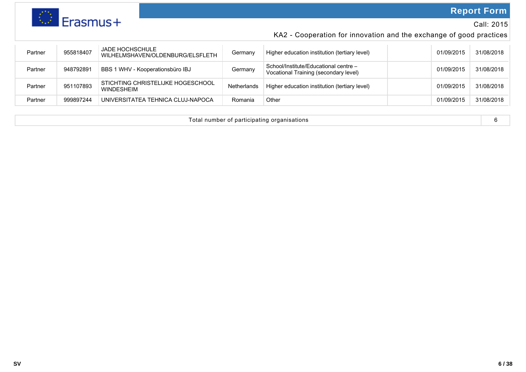

### Call: 2015

## KA2 - Cooperation for innovation and the exchange of good practices

| Partner | 955818407 | <b>JADE HOCHSCHULE</b><br>WILHELMSHAVEN/OLDENBURG/ELSFLETH | Germany     | Higher education institution (tertiary level)                                  | 01/09/2015 | 31/08/2018 |
|---------|-----------|------------------------------------------------------------|-------------|--------------------------------------------------------------------------------|------------|------------|
| Partner | 948792891 | <b>BBS 1 WHV - Kooperationsbüro IBJ</b>                    | Germany     | School/Institute/Educational centre -<br>Vocational Training (secondary level) | 01/09/2015 | 31/08/2018 |
| Partner | 951107893 | STICHTING CHRISTELIJKE HOGESCHOOL<br><b>WINDESHEIM</b>     | Netherlands | Higher education institution (tertiary level)                                  | 01/09/2015 | 31/08/2018 |
| Partner | 999897244 | UNIVERSITATEA TEHNICA CLUJ-NAPOCA                          | Romania     | Other                                                                          | 01/09/2015 | 31/08/2018 |

| the contract of the contract of the contract of the contract of the contract of the contract of the contract of<br>organisations<br>number<br>' of participating<br>uld<br>and the contract of the contract of the contract of the contract of the contract of the contract of the contract of the contract of the contract of the contract of the contract of the contract of the contract of the contra |  |
|-----------------------------------------------------------------------------------------------------------------------------------------------------------------------------------------------------------------------------------------------------------------------------------------------------------------------------------------------------------------------------------------------------------|--|
|-----------------------------------------------------------------------------------------------------------------------------------------------------------------------------------------------------------------------------------------------------------------------------------------------------------------------------------------------------------------------------------------------------------|--|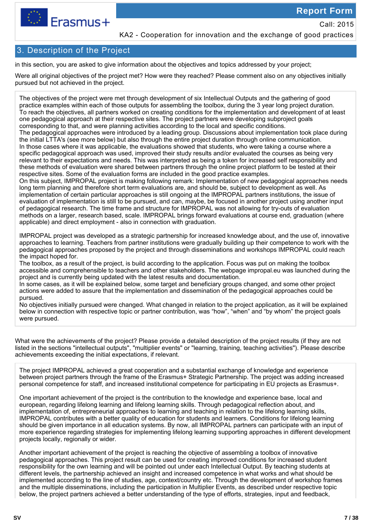

Call: 2015

KA2 - Cooperation for innovation and the exchange of good practices

### 3. Description of the Project

in this section, you are asked to give information about the objectives and topics addressed by your project;

Were all original objectives of the project met? How were they reached? Please comment also on any objectives initially pursued but not achieved in the project.

The objectives of the project were met through development of six Intellectual Outputs and the gathering of good practice examples within each of those outputs for assembling the toolbox, during the 3 year long project duration. To reach the objectives, all partners worked on creating conditions for the implementation and development of at least one pedagogical approach at their respective sites. The project partners were developing subproject goals corresponding to that, and were planning activities according to the local and specific conditions.

The pedagogical approaches were introduced by a leading group. Discussions about implementation took place during the initial LTTA's (see more below) but also through the entire project duration through online communication. In those cases where it was applicable, the evaluations showed that students, who were taking a course where a specific pedagogical approach was used, improved their study results and/or evaluated the courses as being very relevant to their expectations and needs. This was interpreted as being a token for increased self responsibility and these methods of evaluation were shared between partners through the online project platform to be tested at their respective sites. Some of the evaluation forms are included in the good practice examples.

On this subject, IMPROPAL project is making following remark: Implementation of new pedagogical approaches needs long term planning and therefore short term evaluations are, and should be, subject to development as well. As implementation of certain particular approaches is still ongoing at the IMPROPAL partners institutions, the issue of evaluation of implementation is still to be pursued, and can, maybe, be focused in another project using another input of pedagogical research. The time frame and structure for IMPROPAL was not allowing for try-outs of evaluation methods on a larger, research based, scale. IMPROPAL brings forward evaluations at course end, graduation (where applicable) and direct employment - also in connection with graduation.

IMPROPAL project was developed as a strategic partnership for increased knowledge about, and the use of, innovative approaches to learning. Teachers from partner institutions were gradually building up their competence to work with the pedagogical approaches proposed by the project and through disseminations and workshops IMPROPAL could reach the impact hoped for.

The toolbox, as a result of the project, is build according to the application. Focus was put on making the toolbox accessible and comprehensible to teachers and other stakeholders. The webpage impropal.eu was launched during the project and is currently being updated with the latest results and documentation.

In some cases, as it will be explained below, some target and beneficiary groups changed, and some other project actions were added to assure that the implementation and dissemination of the pedagogical approaches could be pursued.

No objectives initially pursued were changed. What changed in relation to the project application, as it will be explained below in connection with respective topic or partner contribution, was "how", "when" and "by whom" the project goals were pursued.

What were the achievements of the project? Please provide a detailed description of the project results (if they are not listed in the sections "intellectual outputs", "multiplier events" or "learning, training, teaching activities"). Please describe achievements exceeding the initial expectations, if relevant.

The project IMPROPAL achieved a great cooperation and a substantial exchange of knowledge and experience between project partners through the frame of the Erasmus+ Strategic Partnership. The project was adding increased personal competence for staff, and increased institutional competence for participating in EU projects as Erasmus+.

One important achievement of the project is the contribution to the knowledge and experience base, local and european, regarding lifelong learning and lifelong learning skills. Through pedagogical reflection about, and implementation of, entrepreneurial approaches to learning and teaching in relation to the lifelong learning skills, IMPROPAL contributes with a better quality of education for students and learners. Conditions for lifelong learning should be given importance in all education systems. By now, all IMPROPAL partners can participate with an input of more experience regarding strategies for implementing lifelong learning supporting approaches in different development projects locally, regionally or wider.

Another important achievement of the project is reaching the objective of assembling a toolbox of innovative pedagogical approaches. This project result can be used for creating improved conditions for increased student responsibility for the own learning and will be pointed out under each Intellectual Output. By teaching students at different levels, the partnership achieved an insight and increased competence in what works and what should be implemented according to the line of studies, age, context/country etc. Through the development of workshop frames and the multiple disseminations, including the participation in Multiplier Events, as described under respective topic below, the project partners achieved a better understanding of the type of efforts, strategies, input and feedback,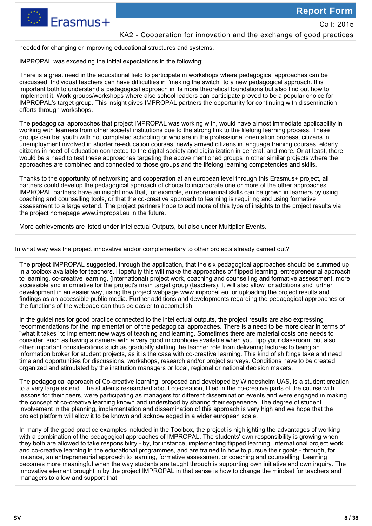

### KA2 - Cooperation for innovation and the exchange of good practices

needed for changing or improving educational structures and systems.

IMPROPAL was exceeding the initial expectations in the following:

There is a great need in the educational field to participate in workshops where pedagogical approaches can be discussed. Individual teachers can have difficulties in "making the switch" to a new pedagogical approach. It is important both to understand a pedagogical approach in its more theoretical foundations but also find out how to implement it. Work groups/workshops where also school leaders can participate proved to be a popular choice for IMPROPAL's target group. This insight gives IMPROPAL partners the opportunity for continuing with dissemination efforts through workshops.

The pedagogical approaches that project IMPROPAL was working with, would have almost immediate applicability in working with learners from other societal institutions due to the strong link to the lifelong learning process. These groups can be: youth with not completed schooling or who are in the professional orientation process, citizens in unemployment involved in shorter re-education courses, newly arrived citizens in language training courses, elderly citizens in need of education connected to the digital society and digitalization in general, and more. Or at least, there would be a need to test these approaches targeting the above mentioned groups in other similar projects where the approaches are combined and connected to those groups and the lifelong learning competencies and skills.

Thanks to the opportunity of networking and cooperation at an european level through this Erasmus+ project, all partners could develop the pedagogical approach of choice to incorporate one or more of the other approaches. IMPROPAL partners have an insight now that, for example, entrepreneurial skills can be grown in learners by using coaching and counselling tools, or that the co-creative approach to learning is requiring and using formative assessment to a large extend. The project partners hope to add more of this type of insights to the project results via the project homepage www.impropal.eu in the future.

More achievements are listed under Intellectual Outputs, but also under Multiplier Events.

In what way was the project innovative and/or complementary to other projects already carried out?

The project IMPROPAL suggested, through the application, that the six pedagogical approaches should be summed up in a toolbox available for teachers. Hopefully this will make the approaches of flipped learning, entrepreneurial approach to learning, co-creative learning, (international) project work, coaching and counselling and formative assessment, more accessible and informative for the project's main target group (teachers). It will also allow for additions and further development in an easier way, using the project webpage www.impropal.eu for uploading the project results and findings as an accessible public media. Further additions and developments regarding the pedagogical approaches or the functions of the webpage can thus be easier to accomplish.

In the guidelines for good practice connected to the intellectual outputs, the project results are also expressing recommendations for the implementation of the pedagogical approaches. There is a need to be more clear in terms of "what it takes" to implement new ways of teaching and learning. Sometimes there are material costs one needs to consider, such as having a camera with a very good microphone available when you flipp your classroom, but also other important considerations such as gradually shifting the teacher role from delivering lectures to being an information broker for student projects, as it is the case with co-creative learning. This kind of shiftings take and need time and opportunities for discussions, workshops, research and/or project surveys. Conditions have to be created, organized and stimulated by the institution managers or local, regional or national decision makers.

The pedagogical approach of Co-creative learning, proposed and developed by Windesheim UAS, is a student creation to a very large extend. The students researched about co-creation, filled in the co-creative parts of the course with lessons for their peers, were participating as managers for different dissemination events and were engaged in making the concept of co-creative learning known and understood by sharing their experience. The degree of student involvement in the planning, implementation and dissemination of this approach is very high and we hope that the project platform will allow it to be known and acknowledged in a wider european scale.

In many of the good practice examples included in the Toolbox, the project is highlighting the advantages of working with a combination of the pedagogical approaches of IMPROPAL. The students' own responsibility is growing when they both are allowed to take responsibility - by, for instance, implementing flipped learning, international project work and co-creative learning in the educational programmes, and are trained in how to pursue their goals - through, for instance, an entrepreneurial approach to learning, formative assessment or coaching and counselling. Learning becomes more meaningful when the way students are taught through is supporting own initiative and own inquiry. The innovative element brought in by the project IMPROPAL in that sense is how to change the mindset for teachers and managers to allow and support that.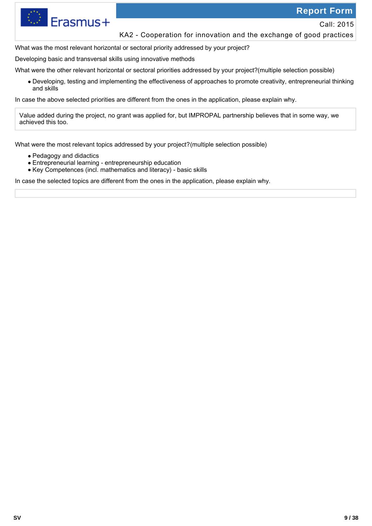

Erasmus+

Call: 2015

### KA2 - Cooperation for innovation and the exchange of good practices

What was the most relevant horizontal or sectoral priority addressed by your project?

Developing basic and transversal skills using innovative methods

What were the other relevant horizontal or sectoral priorities addressed by your project?(multiple selection possible)

Developing, testing and implementing the effectiveness of approaches to promote creativity, entrepreneurial thinking and skills

In case the above selected priorities are different from the ones in the application, please explain why.

Value added during the project, no grant was applied for, but IMPROPAL partnership believes that in some way, we achieved this too.

What were the most relevant topics addressed by your project?(multiple selection possible)

- Pedagogy and didactics
- Entrepreneurial learning entrepreneurship education
- Key Competences (incl. mathematics and literacy) basic skills

In case the selected topics are different from the ones in the application, please explain why.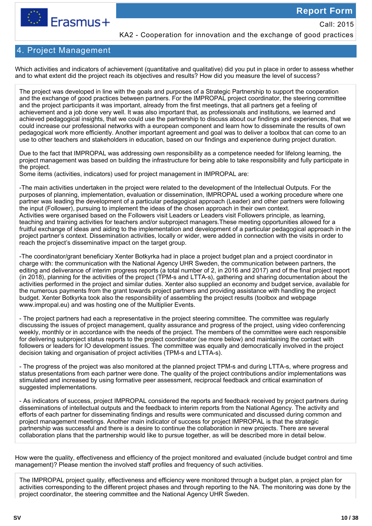

Call: 2015

KA2 - Cooperation for innovation and the exchange of good practices

### 4. Project Management

Which activities and indicators of achievement (quantitative and qualitative) did you put in place in order to assess whether and to what extent did the project reach its objectives and results? How did you measure the level of success?

The project was developed in line with the goals and purposes of a Strategic Partnership to support the cooperation and the exchange of good practices between partners. For the IMPROPAL project coordinator, the steering committee and the project participants it was important, already from the first meetings, that all partners get a feeling of achievement and a job done very well. It was also important that, as professionals and institutions, we learned and achieved pedagogical insights, that we could use the partnership to discuss about our findings and experiences, that we could increase our professional networks with a european component and learn how to disseminate the results of own pedagogical work more efficiently. Another important agreement and goal was to deliver a toolbox that can come to an use to other teachers and stakeholders in education, based on our findings and experience during project duration.

Due to the fact that IMPROPAL was addressing own responsibility as a competence needed for lifelong learning, the project management was based on building the infrastructure for being able to take responsibility and fully participate in the project.

Some items (activities, indicators) used for project management in IMPROPAL are:

-The main activities undertaken in the project were related to the development of the Intellectual Outputs. For the purposes of planning, implementation, evaluation or dissemination, IMPROPAL used a working procedure where one partner was leading the development of a particular pedagogical approach (Leader) and other partners were following the input (Follower), pursuing to implement the ideas of the chosen approach in their own context. Activities were organised based on the Followers visit Leaders or Leaders visit Followers principle, as learning, teaching and training activities for teachers and/or subproject managers.These meeting opportunities allowed for a fruitful exchange of ideas and aiding to the implementation and development of a particular pedagogical approach in the project partner's context. Dissemination activities, locally or wider, were added in connection with the visits in order to reach the project's disseminative impact on the target group.

-The coordinator/grant beneficiary Xenter Botkyrka had in place a project budget plan and a project coordinator in charge with: the communication with the National Agency UHR Sweden, the communication between partners, the editing and deliverance of interim progress reports (a total number of 2, in 2016 and 2017) and of the final project report (in 2018), planning for the activities of the project (TPM-s and LTTA-s), gathering and sharing documentation about the activities performed in the project and similar duties. Xenter also supplied an economy and budget service, available for the numerous payments from the grant towards project partners and providing assistance with handling the project budget. Xenter Botkyrka took also the responsibility of assembling the project results (toolbox and webpage www.impropal.eu) and was hosting one of the Multiplier Events.

- The project partners had each a representative in the project steering committee. The committee was regularly discussing the issues of project management, quality assurance and progress of the project, using video conferencing weekly, monthly or in accordance with the needs of the project. The members of the committee were each responsible for delivering subproject status reports to the project coordinator (se more below) and maintaining the contact with followers or leaders for IO development issues. The committee was equally and democratically involved in the project decision taking and organisation of project activities (TPM-s and LTTA-s).

- The progress of the project was also monitored at the planned project TPM-s and during LTTA-s, where progress and status presentations from each partner were done. The quality of the project contributions and/or implementations was stimulated and increased by using formative peer assessment, reciprocal feedback and critical examination of suggested implementations.

- As indicators of success, project IMPROPAL considered the reports and feedback received by project partners during disseminations of intellectual outputs and the feedback to interim reports from the National Agency. The activity and efforts of each partner for disseminating findings and results were communicated and discussed during common and project management meetings. Another main indicator of success for project IMPROPAL is that the strategic partnership was successful and there is a desire to continue the collaboration in new projects. There are several collaboration plans that the partnership would like to pursue together, as will be described more in detail below.

How were the quality, effectiveness and efficiency of the project monitored and evaluated (include budget control and time management)? Please mention the involved staff profiles and frequency of such activities.

The IMPROPAL project quality, effectiveness and efficiency were monitored through a budget plan, a project plan for activities corresponding to the different project phases and through reporting to the NA. The monitoring was done by the project coordinator, the steering committee and the National Agency UHR Sweden.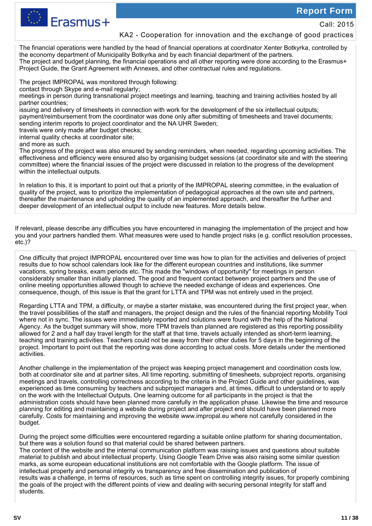

Call: 2015

### KA2 - Cooperation for innovation and the exchange of good practices

The financial operations were handled by the head of financial operations at coordinator Xenter Botkyrka, controlled by the economy department of Municipality Botkyrka and by each financial department of the partners. The project and budget planning, the financial operations and all other reporting were done according to the Erasmus+ Project Guide, the Grant Agreement with Annexes, and other contractual rules and regulations.

The project IMPROPAL was monitored through following:

contact through Skype and e-mail regularly;

meetings in person during transnational project meetings and learning, teaching and training activities hosted by all partner countries;

issuing and delivery of timesheets in connection with work for the development of the six intellectual outputs; payment/reimbursement from the coordinator was done only after submitting of timesheets and travel documents;

sending interim reports to project coordinator and the NA UHR Sweden;

travels were only made after budget checks;

internal quality checks at coordinator site;

and more as such.

The progress of the project was also ensured by sending reminders, when needed, regarding upcoming activities. The effectiveness and efficiency were ensured also by organising budget sessions (at coordinator site and with the steering committee) where the financial issues of the project were discussed in relation to the progress of the development within the intellectual outputs.

In relation to this, it is important to point out that a priority of the IMPROPAL steering committee, in the evaluation of quality of the project, was to prioritize the implementation of pedagogical approaches at the own site and partners, thereafter the maintenance and upholding the quality of an implemented approach, and thereafter the further and deeper development of an intellectual output to include new features. More details below.

If relevant, please describe any difficulties you have encountered in managing the implementation of the project and how you and your partners handled them. What measures were used to handle project risks (e.g. conflict resolution processes, etc.)?

One difficulty that project IMPROPAL encountered over time was how to plan for the activities and deliveries of project results due to how school calendars look like for the different european countries and institutions, like summer vacations, spring breaks, exam periods etc. This made the "windows of opportunity" for meetings in person considerably smaller than initially planned. The good and frequent contact between project partners and the use of online meeting opportunities allowed though to achieve the needed exchange of ideas and experiences. One consequence, though, of this issue is that the grant for LTTA and TPM was not entirely used in the project.

Regarding LTTA and TPM, a difficulty, or maybe a starter mistake, was encountered during the first project year, when the travel possibilities of the staff and managers, the project design and the rules of the financial reporting Mobility Tool where not in sync. The issues were immediately reported and solutions were found with the help of the National Agency. As the budget summary will show, more TPM travels than planned are registered as this reporting possibility allowed for 2 and a half day travel length for the staff at that time, travels actually intended as short-term learning, teaching and training activities. Teachers could not be away from their other duties for 5 days in the beginning of the project. Important to point out that the reporting was done according to actual costs. More details under the mentioned activities.

Another challenge in the implementation of the project was keeping project management and coordination costs low, both at coordinator site and at partner sites. All time reporting, submitting of timesheets, subproject reports, organising meetings and travels, controlling correctness according to the criteria in the Project Guide and other guidelines, was experienced as time consuming by teachers and subproject managers and, at times, difficult to understand or to apply on the work with the Intellectual Outputs. One learning outcome for all participants in the project is that the administration costs should have been planned more carefully in the application phase. Likewise the time and resource planning for editing and maintaining a website during project and after project end should have been planned more carefully. Costs for maintaining and improving the website www.impropal.eu where not carefully considered in the budget.

During the project some difficulties were encountered regarding a suitable online platform for sharing documentation, but there was a solution found so that material could be shared between partners.

The content of the website and the internal communication platform was raising issues and questions about suitable material to publish and about intellectual property. Using Google Team Drive was also raising some similar question marks, as some european educational institutions are not comfortable with the Google platform. The issue of intellectual property and personal integrity vs transparency and free dissemination and publication of results was a challenge, in terms of resources, such as time spent on controlling integrity issues, for properly combining the goals of the project with the different points of view and dealing with securing personal integrity for staff and students.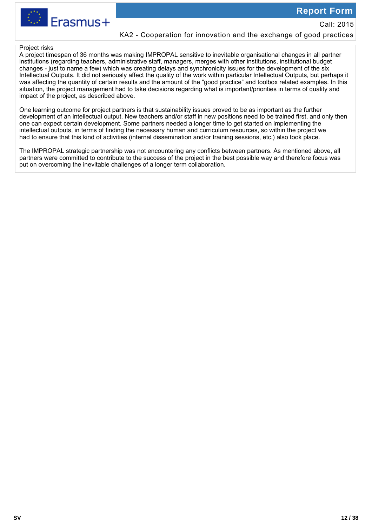

### KA2 - Cooperation for innovation and the exchange of good practices

### Project risks

A project timespan of 36 months was making IMPROPAL sensitive to inevitable organisational changes in all partner institutions (regarding teachers, administrative staff, managers, merges with other institutions, institutional budget changes - just to name a few) which was creating delays and synchronicity issues for the development of the six Intellectual Outputs. It did not seriously affect the quality of the work within particular Intellectual Outputs, but perhaps it was affecting the quantity of certain results and the amount of the "good practice" and toolbox related examples. In this situation, the project management had to take decisions regarding what is important/priorities in terms of quality and impact of the project, as described above.

One learning outcome for project partners is that sustainability issues proved to be as important as the further development of an intellectual output. New teachers and/or staff in new positions need to be trained first, and only then one can expect certain development. Some partners needed a longer time to get started on implementing the intellectual outputs, in terms of finding the necessary human and curriculum resources, so within the project we had to ensure that this kind of activities (internal dissemination and/or training sessions, etc.) also took place.

The IMPROPAL strategic partnership was not encountering any conflicts between partners. As mentioned above, all partners were committed to contribute to the success of the project in the best possible way and therefore focus was put on overcoming the inevitable challenges of a longer term collaboration.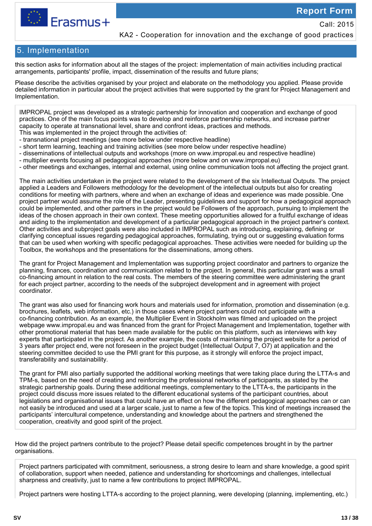

Call: 2015

KA2 - Cooperation for innovation and the exchange of good practices

### 5. Implementation

this section asks for information about all the stages of the project: implementation of main activities including practical arrangements, participants' profile, impact, dissemination of the results and future plans;

Please describe the activities organised by your project and elaborate on the methodology you applied. Please provide detailed information in particular about the project activities that were supported by the grant for Project Management and Implementation.

IMPROPAL project was developed as a strategic partnership for innovation and cooperation and exchange of good practices. One of the main focus points was to develop and reinforce partnership networks, and increase partner capacity to operate at transnational level, share and confront ideas, practices and methods.

- This was implemented in the project through the activities of:
- transnational project meetings (see more below under respective headline)
- short term learning, teaching and training activities (see more below under respective headline)
- disseminations of intellectual outputs and workshops (more on www.impropal.eu and respective headline)
- multiplier events focusing all pedagogical approaches (more below and on www.impropal.eu)
- other meetings and exchanges, internal and external, using online communication tools not affecting the project grant.

The main activities undertaken in the project were related to the development of the six Intellectual Outputs. The project applied a Leaders and Followers methodology for the development of the intellectual outputs but also for creating conditions for meeting with partners, where and when an exchange of ideas and experience was made possible. One project partner would assume the role of the Leader, presenting guidelines and support for how a pedagogical approach could be implemented, and other partners in the project would be Followers of the approach, pursuing to implement the ideas of the chosen approach in their own context. These meeting opportunities allowed for a fruitful exchange of ideas and aiding to the implementation and development of a particular pedagogical approach in the project partner's context. Other activities and subproject goals were also included in IMPROPAL such as introducing, explaining, defining or clarifying conceptual issues regarding pedagogical approaches, formulating, trying out or suggesting evaluation forms that can be used when working with specific pedagogical approaches. These activities were needed for building up the Toolbox, the workshops and the presentations for the disseminations, among others.

The grant for Project Management and Implementation was supporting project coordinator and partners to organize the planning, finances, coordination and communication related to the project. In general, this particular grant was a small co-financing amount in relation to the real costs. The members of the steering committee were administering the grant for each project partner, according to the needs of the subproject development and in agreement with project coordinator.

The grant was also used for financing work hours and materials used for information, promotion and dissemination (e.g. brochures, leaflets, web information, etc.) in those cases where project partners could not participate with a co-financing contribution. As an example, the Multiplier Event in Stockholm was filmed and uploaded on the project webpage www.impropal.eu and was financed from the grant for Project Management and Implementation, together with other promotional material that has been made available for the public on this platform, such as interviews with key experts that participated in the project. As another example, the costs of maintaining the project website for a period of 3 years after project end, were not foreseen in the project budget (Intellectual Output 7, O7) at application and the steering committee decided to use the PMI grant for this purpose, as it strongly will enforce the project impact, transferability and sustainability.

The grant for PMI also partially supported the additional working meetings that were taking place during the LTTA-s and TPM-s, based on the need of creating and reinforcing the professional networks of participants, as stated by the strategic partnership goals. During these additional meetings, complementary to the LTTA-s, the participants in the project could discuss more issues related to the different educational systems of the participant countries, about legislations and organisational issues that could have an effect on how the different pedagogical approaches can or can not easily be introduced and used at a larger scale, just to name a few of the topics. This kind of meetings increased the participants' intercultural competence, understanding and knowledge about the partners and strengthened the cooperation, creativity and good spirit of the project.

How did the project partners contribute to the project? Please detail specific competences brought in by the partner organisations.

Project partners participated with commitment, seriousness, a strong desire to learn and share knowledge, a good spirit of collaboration, support when needed, patience and understanding for shortcomings and challenges, intellectual sharpness and creativity, just to name a few contributions to project IMPROPAL.

Project partners were hosting LTTA-s according to the project planning, were developing (planning, implementing, etc.)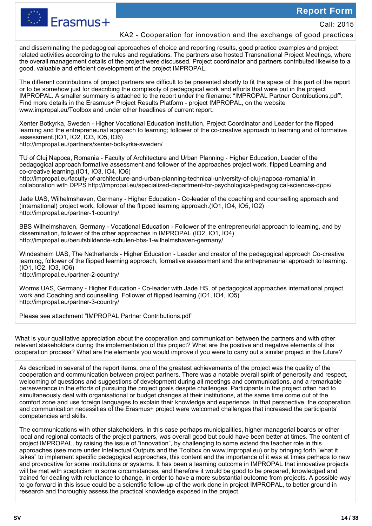

Call: 2015

### KA2 - Cooperation for innovation and the exchange of good practices

and disseminating the pedagogical approaches of choice and reporting results, good practice examples and project related activities according to the rules and regulations. The partners also hosted Transnational Project Meetings, where the overall management details of the project were discussed. Project coordinator and partners contributed likewise to a good, valuable and efficient development of the project IMPROPAL.

The different contributions of project partners are difficult to be presented shortly to fit the space of this part of the report or to be somehow just for describing the complexity of pedagogical work and efforts that were put in the project IMPROPAL. A smaller summary is attached to the report under the filename: "IMPROPAL Partner Contributions.pdf". Find more details in the Erasmus+ Project Results Platform - project IMPROPAL, on the website www.impropal.eu/Toolbox and under other headlines of current report.

Xenter Botkyrka, Sweden - Higher Vocational Education Institution, Project Coordinator and Leader for the flipped learning and the entrepreneurial approach to learning; follower of the co-creative approach to learning and of formative assessment.(IO1, IO2, IO3, IO5, IO6)

http://impropal.eu/partners/xenter-botkyrka-sweden/

TU of Cluj Napoca, Romania - Faculty of Architecture and Urban Planning - Higher Education, Leader of the pedagogical approach formative assessment and follower of the approaches project work, flipped Learning and co-creative learning.(IO1, IO3, IO4, IO6)

http://impropal.eu/faculty-of-architecture-and-urban-planning-technical-university-of-cluj-napoca-romania/ in collaboration with DPPS http://impropal.eu/specialized-department-for-psychological-pedagogical-sciences-dpps/

Jade UAS, Wilhelmshaven, Germany - Higher Education - Co-leader of the coaching and counselling approach and (international) project work, follower of the flipped learning approach.(IO1, IO4, IO5, IO2) http://impropal.eu/partner-1-country/

BBS Wilhelmshaven, Germany - Vocational Education - Follower of the entrepreneurial approach to learning, and by dissemination, follower of the other approaches in IMPROPAL.(IO2, IO1, IO4) http://impropal.eu/berufsbildende-schulen-bbs-1-wilhelmshaven-germany/

Windesheim UAS, The Netherlands - Higher Education - Leader and creator of the pedagogical approach Co-creative learning, follower of the flipped learning approach, formative assessment and the entrepreneurial approach to learning. (IO1, IO2, IO3, IO6)

http://impropal.eu/partner-2-country/

Worms UAS, Germany - Higher Education - Co-leader with Jade HS, of pedagogical approaches international project work and Coaching and counselling. Follower of flipped learning.(IO1, IO4, IO5) http://impropal.eu/partner-3-country/

Please see attachment "IMPROPAL Partner Contributions.pdf"

What is your qualitative appreciation about the cooperation and communication between the partners and with other relevant stakeholders during the implementation of this project? What are the positive and negative elements of this cooperation process? What are the elements you would improve if you were to carry out a similar project in the future?

As described in several of the report items, one of the greatest achievements of the project was the quality of the cooperation and communication between project partners. There was a notable overall spirit of generosity and respect, welcoming of questions and suggestions of development during all meetings and communications, and a remarkable perseverance in the efforts of pursuing the project goals despite challenges. Participants in the project often had to simultaneously deal with organisational or budget changes at their institutions, at the same time come out of the comfort zone and use foreign languages to explain their knowledge and experience. In that perspective, the cooperation and communication necessities of the Erasmus+ project were welcomed challenges that increased the participants' competencies and skills.

The communications with other stakeholders, in this case perhaps municipalities, higher managerial boards or other local and regional contacts of the project partners, was overall good but could have been better at times. The content of project IMPROPAL, by raising the issue of "innovation", by challenging to some extend the teacher role in this approaches (see more under Intellectual Outputs and the Toolbox on www.impropal.eu) or by bringing forth "what it takes" to implement specific pedagogical approaches, this content and the importance of it was at times perhaps to new and provocative for some institutions or systems. It has been a learning outcome in IMPROPAL that innovative projects will be met with scepticism in some circumstances, and therefore it would be good to be prepared, knowledged and trained for dealing with reluctance to change, in order to have a more substantial outcome from projects. A possible way to go forward in this issue could be a scientific follow-up of the work done in project IMPROPAL, to better ground in research and thoroughly assess the practical knowledge exposed in the project.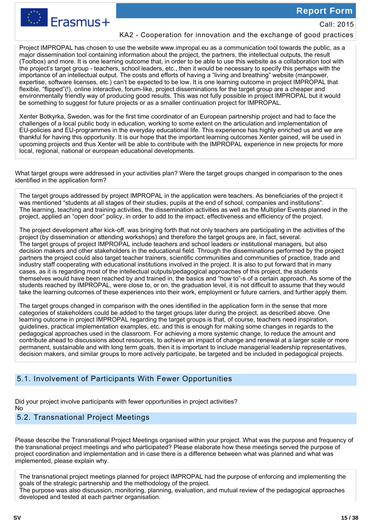Call: 2015



### KA2 - Cooperation for innovation and the exchange of good practices

Project IMPROPAL has chosen to use the website www.impropal.eu as a communication tool towards the public, as a major dissemination tool containing information about the project, the partners, the intellectual outputs, the result (Toolbox) and more. It is one learning outcome that, in order to be able to use this website as a collaboration tool with the project's target group - teachers, school leaders, etc., then it would be necessary to specify this perhaps with the importance of an intellectual output. The costs and efforts of having a "living and breathing" website (manpower, expertise, software licenses, etc.) can't be expected to be low. It is one learning outcome in project IMPROPAL that flexible, "flipped"(!), online interactive, forum-like, project disseminations for the target group are a cheaper and environmentally friendly way of producing good results. This was not fully possible in project IMPROPAL but it would be something to suggest for future projects or as a smaller continuation project for IMPROPAL.

Xenter Botkyrka, Sweden, was for the first time coordinator of an European partnership project and had to face the challenges of a local public body in education, working to some extent on the articulation and implementation of EU-policies and EU-programmes in the everyday educational life. This experience has highly enriched us and we are thankful for having this opportunity. It is our hope that the important learning outcomes Xenter gained, will be used in upcoming projects and thus Xenter will be able to contribute with the IMPROPAL experience in new projects for more local, regional, national or european educational developments.

What target groups were addressed in your activities plan? Were the target groups changed in comparison to the ones identified in the application form?

The target groups addressed by project IMPROPAL in the application were teachers. As beneficiaries of the project it was mentioned "students at all stages of their studies, pupils at the end of school, companies and institutions". The learning, teaching and training activities, the dissemination activities as well as the Multiplier Events planned in the project, applied an "open door" policy, in order to add to the impact, effectiveness and efficiency of the project.

The project development after kick-off, was bringing forth that not only teachers are participating in the activities of the project (by dissemination or attending workshops) and therefore the target groups are, in fact, several. The target groups of project IMPROPAL include teachers and school leaders or institutional managers, but also decision makers and other stakeholders in the educational field. Through the disseminations performed by the project partners the project could also target teacher trainers, scientific communities and communities of practice, trade and industry staff cooperating with educational institutions involved in the project. It is also to put forward that in many cases, as it is regarding most of the intellectual outputs/pedagogical approaches of this project, the students themselves would have been reached by and trained in, the basics and "how to"-s of a certain approach. As some of the students reached by IMPROPAL, were close to, or on, the graduation level, it is not difficult to assume that they would take the learning outcomes of these experiences into their work, employment or future carriers, and further apply them.

The target groups changed in comparison with the ones identified in the application form in the sense that more categories of stakeholders could be added to the target groups later during the project, as described above. One learning outcome in project IMPROPAL regarding the target groups is that, of course, teachers need inspiration, guidelines, practical implementation examples, etc. and this is enough for making some changes in regards to the pedagogical approaches used in the classroom. For achieving a more systemic change, to reduce the amount and contribute ahead to discussions about resources, to achieve an impact of change and renewal at a larger scale or more permanent, sustainable and with long term goals, then it is important to include managerial leadership representatives, decision makers, and similar groups to more actively participate, be targeted and be included in pedagogical projects.

### 5.1. Involvement of Participants With Fewer Opportunities

Did your project involve participants with fewer opportunities in project activities? No

### 5.2. Transnational Project Meetings

Please describe the Transnational Project Meetings organised within your project. What was the purpose and frequency of the transnational project meetings and who participated? Please elaborate how these meetings served the purpose of project coordination and implementation and in case there is a difference between what was planned and what was implemented, please explain why.

The transnational project meetings planned for project IMPROPAL had the purpose of enforcing and implementing the goals of the strategic partnership and the methodology of the project.

The purpose was also discussion, monitoring, planning, evaluation, and mutual review of the pedagogical approaches developed and tested at each partner organisation.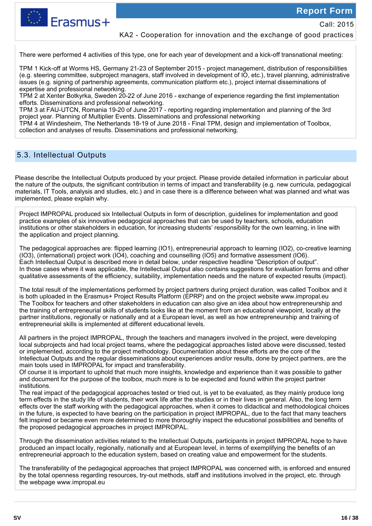

Erasmus+

Call: 2015

### KA2 - Cooperation for innovation and the exchange of good practices

There were performed 4 activities of this type, one for each year of development and a kick-off transnational meeting:

TPM 1 Kick-off at Worms HS, Germany 21-23 of September 2015 - project management, distribution of responsibilities (e.g. steering committee, subproject managers, staff involved in development of IO, etc.), travel planning, administrative issues (e.g. signing of partnership agreements, communication platform etc.), project internal disseminations of expertise and professional networking.

TPM 2 at Xenter Botkyrka, Sweden 20-22 of June 2016 - exchange of experience regarding the first implementation efforts. Disseminations and professional networking.

TPM 3 at FAU-UTCN, Romania 19-20 of June 2017 - reporting regarding implementation and planning of the 3rd project year. Planning of Multiplier Events. Disseminations and professional networking

TPM 4 at Windesheim, The Netherlands 18-19 of June 2018 - Final TPM, design and implementation of Toolbox, collection and analyses of results. Disseminations and professional networking.

### 5.3. Intellectual Outputs

Please describe the Intellectual Outputs produced by your project. Please provide detailed information in particular about the nature of the outputs, the significant contribution in terms of impact and transferability (e.g. new curricula, pedagogical materials, IT Tools, analysis and studies, etc.) and in case there is a difference between what was planned and what was implemented, please explain why.

Project IMPROPAL produced six Intellectual Outputs in form of description, guidelines for implementation and good practice examples of six innovative pedagogical approaches that can be used by teachers, schools, education institutions or other stakeholders in education, for increasing students' responsibility for the own learning, in line with the application and project planning.

The pedagogical approaches are: flipped learning (IO1), entrepreneurial approach to learning (IO2), co-creative learning (IO3), (international) project work (IO4), coaching and counselling (IO5) and formative assessment (IO6). Each Intellectual Output is described more in detail below, under respective headline "Description of output". In those cases where it was applicable, the Intellectual Output also contains suggestions for evaluation forms and other qualitative assessments of the efficiency, suitability, implementation needs and the nature of expected results (impact).

The total result of the implementations performed by project partners during project duration, was called Toolbox and it is both uploaded in the Erasmus+ Project Results Platform (EPRP) and on the project website www.impropal.eu The Toolbox for teachers and other stakeholders in education can also give an idea about how entrepreneurship and the training of entrepreneurial skills of students looks like at the moment from an educational viewpoint, locally at the partner institutions, regionally or nationally and at a European level, as well as how entrepreneurship and training of entrepreneurial skills is implemented at different educational levels.

All partners in the project IMPROPAL, through the teachers and managers involved in the project, were developing local subprojects and had local project teams, where the pedagogical approaches listed above were discussed, tested or implemented, according to the project methodology. Documentation about these efforts are the core of the Intellectual Outputs and the regular disseminations about experiences and/or results, done by project partners, are the main tools used in IMPROPAL for impact and transferability.

Of course it is important to uphold that much more insights, knowledge and experience than it was possible to gather and document for the purpose of the toolbox, much more is to be expected and found within the project partner institutions.

The real impact of the pedagogical approaches tested or tried out, is yet to be evaluated, as they mainly produce long term effects in the study life of students, their work life after the studies or in their lives in general. Also, the long term effects over the staff working with the pedagogical approaches, when it comes to didactical and methodological choices in the future, is expected to have bearing on the participation in project IMPROPAL, due to the fact that many teachers felt inspired or became even more determined to more thoroughly inspect the educational possibilities and benefits of the proposed pedagogical approaches in project IMPROPAL.

Through the dissemination activities related to the Intellectual Outputs, participants in project IMPROPAL hope to have produced an impact locally, regionally, nationally and at European level, in terms of exemplifying the benefits of an entrepreneurial approach to the education system, based on creating value and empowerment for the students.

The transferability of the pedagogical approaches that project IMPROPAL was concerned with, is enforced and ensured by the total openness regarding resources, try-out methods, staff and institutions involved in the project, etc. through the webpage www.impropal.eu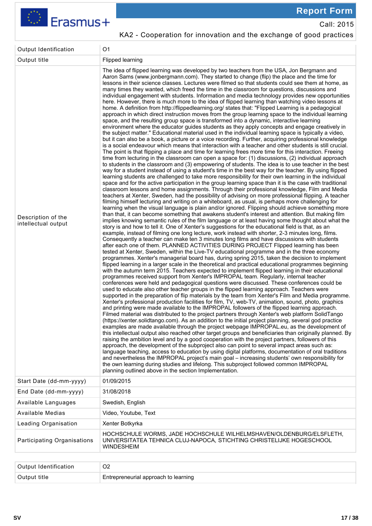

## KA2 - Cooperation for innovation and the exchange of good practices

| Output Identification                     | O <sub>1</sub>                                                                                                                                                                                                                                                                                                                                                                                                                                                                                                                                                                                                                                                                                                                                                                                                                                                                                                                                                                                                                                                                                                                                                                                                                                                                                                                                                                                                                                                                                                                                                                                                                                                                                                                                                                                                                                                                                                                                                                                                                                                                                                                                                                                                                                                                                                                                                                                                                                                                                                                                                                                                                                                                                                                                                                                                                                                                                                                                                                                                                                                                                                                                                                                                                                                                                                                                                                                                                                                                                                                                                                                                                                                                                                                                                                                                                                                                                                                                                                                                                                                                                                                                                                                                                                                                                                                                                                                                                                                                                                                                                                                                                                                                                                                                                                                                                                                                                                                                                                                                                    |
|-------------------------------------------|-----------------------------------------------------------------------------------------------------------------------------------------------------------------------------------------------------------------------------------------------------------------------------------------------------------------------------------------------------------------------------------------------------------------------------------------------------------------------------------------------------------------------------------------------------------------------------------------------------------------------------------------------------------------------------------------------------------------------------------------------------------------------------------------------------------------------------------------------------------------------------------------------------------------------------------------------------------------------------------------------------------------------------------------------------------------------------------------------------------------------------------------------------------------------------------------------------------------------------------------------------------------------------------------------------------------------------------------------------------------------------------------------------------------------------------------------------------------------------------------------------------------------------------------------------------------------------------------------------------------------------------------------------------------------------------------------------------------------------------------------------------------------------------------------------------------------------------------------------------------------------------------------------------------------------------------------------------------------------------------------------------------------------------------------------------------------------------------------------------------------------------------------------------------------------------------------------------------------------------------------------------------------------------------------------------------------------------------------------------------------------------------------------------------------------------------------------------------------------------------------------------------------------------------------------------------------------------------------------------------------------------------------------------------------------------------------------------------------------------------------------------------------------------------------------------------------------------------------------------------------------------------------------------------------------------------------------------------------------------------------------------------------------------------------------------------------------------------------------------------------------------------------------------------------------------------------------------------------------------------------------------------------------------------------------------------------------------------------------------------------------------------------------------------------------------------------------------------------------------------------------------------------------------------------------------------------------------------------------------------------------------------------------------------------------------------------------------------------------------------------------------------------------------------------------------------------------------------------------------------------------------------------------------------------------------------------------------------------------------------------------------------------------------------------------------------------------------------------------------------------------------------------------------------------------------------------------------------------------------------------------------------------------------------------------------------------------------------------------------------------------------------------------------------------------------------------------------------------------------------------------------------------------------------------------------------------------------------------------------------------------------------------------------------------------------------------------------------------------------------------------------------------------------------------------------------------------------------------------------------------------------------------------------------------------------------------------------------------------------------------------------------------------------|
| Output title                              | Flipped learning                                                                                                                                                                                                                                                                                                                                                                                                                                                                                                                                                                                                                                                                                                                                                                                                                                                                                                                                                                                                                                                                                                                                                                                                                                                                                                                                                                                                                                                                                                                                                                                                                                                                                                                                                                                                                                                                                                                                                                                                                                                                                                                                                                                                                                                                                                                                                                                                                                                                                                                                                                                                                                                                                                                                                                                                                                                                                                                                                                                                                                                                                                                                                                                                                                                                                                                                                                                                                                                                                                                                                                                                                                                                                                                                                                                                                                                                                                                                                                                                                                                                                                                                                                                                                                                                                                                                                                                                                                                                                                                                                                                                                                                                                                                                                                                                                                                                                                                                                                                                                  |
| Description of the<br>intellectual output | The idea of flipped learning was developed by two teachers from the USA, Jon Bergmann and<br>Aaron Sams (www.jonbergmann.com). They started to change (flip) the place and the time for<br>lessons in their science classes. Lectures were filmed so that students could see them at home, as<br>many times they wanted, which freed the time in the classroom for questions, discussions and<br>individual engagement with students. Information and media technology provides new opportunities<br>here. However, there is much more to the idea of flipped learning than watching video lessons at<br>home. A definition from http://flippedlearning.org/ states that: "Flipped Learning is a pedagogical<br>approach in which direct instruction moves from the group learning space to the individual learning<br>space, and the resulting group space is transformed into a dynamic, interactive learning<br>environment where the educator guides students as they apply concepts and engage creatively in<br>the subject matter." Educational material used in the individual learning space is typically a video,<br>but it can also be a book, a picture or a voice recording. Further, acquiring professional knowledge<br>is a social endeavour which means that interaction with a teacher and other students is still crucial.<br>The point is that flipping a place and time for learning frees more time for this interaction. Freeing<br>time from lecturing in the classroom can open a space for: (1) discussions, (2) individual approach<br>to students in the classroom and (3) empowering of students. The idea is to use teacher in the best<br>way for a student instead of using a student's time in the best way for the teacher. By using flipped<br>learning students are challenged to take more responsibility for their own learning in the individual<br>space and for the active participation in the group learning space than it is the case with traditional<br>classroom lessons and home assignments. Through their professional knowledge, Film and Media<br>teachers at Xenter, Sweden, had the possibility of advising on more professional flipping. A teacher<br>filming himself lecturing and writing on a whiteboard, as usual, is perhaps more challenging for<br>learning when the visual language is plain and/or ignored. Flipping should achieve something more<br>than that, it can become something that awakens student's interest and attention. But making film<br>implies knowing semantic rules of the film language or at least having some thought about what the<br>story is and how to tell it. One of Xenter's suggestions for the educational field is that, as an<br>example, instead of filming one long lecture, work instead with shorter, 2-3 minutes long, films.<br>Consequently a teacher can make ten 3 minutes long films and have discussions with students<br>after each one of them. PLANNED ACTIVITIES DURING PROJECT Flipped learning has been<br>tested at Xenter, Sweden, within the Live-TV educational programme and in the three economy<br>programmes. Xenter's managerial board has, during spring 2015, taken the decision to implement<br>flipped learning in a larger scale in the theoretical and practical educational programmes beginning<br>with the autumn term 2015. Teachers expected to implement flipped learning in their educational<br>programmes received support from Xenter's IMPROPAL team. Regularly, internal teacher<br>conferences were held and pedagogical questions were discussed. These conferences could be<br>used to educate also other teacher groups in the flipped learning approach. Teachers were<br>supported in the preparation of flip materials by the team from Xenter's Film and Media programme.<br>Xenter's professional production facilities for film, TV, web-TV, animation, sound, photo, graphics<br>and printing were made available to the IMPROPAL followers of the flipped learning approach.<br>Filmed material was distributed to the project partners through Xenter's web platform SolidTango<br>(https://xenter.solidtango.com). As an addition to the initial project planning, several god practice<br>examples are made available through the project webpage IMPROPAL.eu, as the development of<br>this intellectual output also reached other target groups and beneficiaries than originally planned. By<br>raising the ambition level and by a good cooperation with the project partners, followers of this<br>approach, the development of the subproject also can point to several impact areas such as:<br>language teaching, access to education by using digital platforms, documentation of oral traditions<br>and nevertheless the IMPROPAL project's main goal - increasing students' own responsibility for<br>the own learning during studies and lifelong. This subproject followed common IMPROPAL<br>planning outlined above in the section Implementation. |
| Start Date (dd-mm-yyyy)                   | 01/09/2015                                                                                                                                                                                                                                                                                                                                                                                                                                                                                                                                                                                                                                                                                                                                                                                                                                                                                                                                                                                                                                                                                                                                                                                                                                                                                                                                                                                                                                                                                                                                                                                                                                                                                                                                                                                                                                                                                                                                                                                                                                                                                                                                                                                                                                                                                                                                                                                                                                                                                                                                                                                                                                                                                                                                                                                                                                                                                                                                                                                                                                                                                                                                                                                                                                                                                                                                                                                                                                                                                                                                                                                                                                                                                                                                                                                                                                                                                                                                                                                                                                                                                                                                                                                                                                                                                                                                                                                                                                                                                                                                                                                                                                                                                                                                                                                                                                                                                                                                                                                                                        |
| End Date (dd-mm-yyyy)                     | 31/08/2018                                                                                                                                                                                                                                                                                                                                                                                                                                                                                                                                                                                                                                                                                                                                                                                                                                                                                                                                                                                                                                                                                                                                                                                                                                                                                                                                                                                                                                                                                                                                                                                                                                                                                                                                                                                                                                                                                                                                                                                                                                                                                                                                                                                                                                                                                                                                                                                                                                                                                                                                                                                                                                                                                                                                                                                                                                                                                                                                                                                                                                                                                                                                                                                                                                                                                                                                                                                                                                                                                                                                                                                                                                                                                                                                                                                                                                                                                                                                                                                                                                                                                                                                                                                                                                                                                                                                                                                                                                                                                                                                                                                                                                                                                                                                                                                                                                                                                                                                                                                                                        |
| Available Languages                       | Swedish, English                                                                                                                                                                                                                                                                                                                                                                                                                                                                                                                                                                                                                                                                                                                                                                                                                                                                                                                                                                                                                                                                                                                                                                                                                                                                                                                                                                                                                                                                                                                                                                                                                                                                                                                                                                                                                                                                                                                                                                                                                                                                                                                                                                                                                                                                                                                                                                                                                                                                                                                                                                                                                                                                                                                                                                                                                                                                                                                                                                                                                                                                                                                                                                                                                                                                                                                                                                                                                                                                                                                                                                                                                                                                                                                                                                                                                                                                                                                                                                                                                                                                                                                                                                                                                                                                                                                                                                                                                                                                                                                                                                                                                                                                                                                                                                                                                                                                                                                                                                                                                  |
| Available Medias                          | Video, Youtube, Text                                                                                                                                                                                                                                                                                                                                                                                                                                                                                                                                                                                                                                                                                                                                                                                                                                                                                                                                                                                                                                                                                                                                                                                                                                                                                                                                                                                                                                                                                                                                                                                                                                                                                                                                                                                                                                                                                                                                                                                                                                                                                                                                                                                                                                                                                                                                                                                                                                                                                                                                                                                                                                                                                                                                                                                                                                                                                                                                                                                                                                                                                                                                                                                                                                                                                                                                                                                                                                                                                                                                                                                                                                                                                                                                                                                                                                                                                                                                                                                                                                                                                                                                                                                                                                                                                                                                                                                                                                                                                                                                                                                                                                                                                                                                                                                                                                                                                                                                                                                                              |
| Leading Organisation                      | Xenter Botkyrka                                                                                                                                                                                                                                                                                                                                                                                                                                                                                                                                                                                                                                                                                                                                                                                                                                                                                                                                                                                                                                                                                                                                                                                                                                                                                                                                                                                                                                                                                                                                                                                                                                                                                                                                                                                                                                                                                                                                                                                                                                                                                                                                                                                                                                                                                                                                                                                                                                                                                                                                                                                                                                                                                                                                                                                                                                                                                                                                                                                                                                                                                                                                                                                                                                                                                                                                                                                                                                                                                                                                                                                                                                                                                                                                                                                                                                                                                                                                                                                                                                                                                                                                                                                                                                                                                                                                                                                                                                                                                                                                                                                                                                                                                                                                                                                                                                                                                                                                                                                                                   |
| Participating Organisations               | HOCHSCHULE WORMS, JADE HOCHSCHULE WILHELMSHAVEN/OLDENBURG/ELSFLETH,<br>UNIVERSITATEA TEHNICA CLUJ-NAPOCA, STICHTING CHRISTELIJKE HOGESCHOOL<br><b>WINDESHEIM</b>                                                                                                                                                                                                                                                                                                                                                                                                                                                                                                                                                                                                                                                                                                                                                                                                                                                                                                                                                                                                                                                                                                                                                                                                                                                                                                                                                                                                                                                                                                                                                                                                                                                                                                                                                                                                                                                                                                                                                                                                                                                                                                                                                                                                                                                                                                                                                                                                                                                                                                                                                                                                                                                                                                                                                                                                                                                                                                                                                                                                                                                                                                                                                                                                                                                                                                                                                                                                                                                                                                                                                                                                                                                                                                                                                                                                                                                                                                                                                                                                                                                                                                                                                                                                                                                                                                                                                                                                                                                                                                                                                                                                                                                                                                                                                                                                                                                                  |

| Output Identification | O2                                   |
|-----------------------|--------------------------------------|
| Output title !        | Entrepreneurial approach to learning |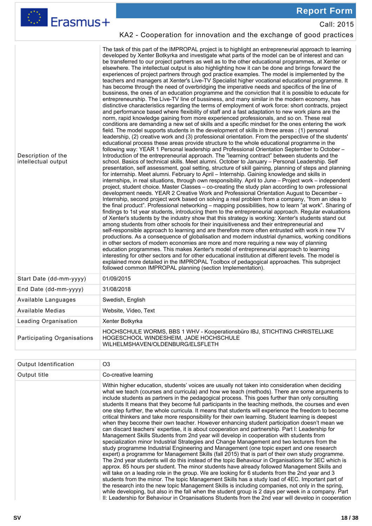| <u>w Lrasmus+</u>                         | Call: 2015                                                                                                                                                                                                                                                                                                                                                                                                                                                                                                                                                                                                                                                                                                                                                                                                                                                                                                                                                                                                                                                                                                                                                                                                                                                                                                                                                                                                                                                                                                                                                                                                                                                                                                                                                                                                                                                                                                                                                                                                                                                                                                                                                                                                                                                                                                                                                                                                                                                                                                                                                                                                                                                                                                                                                                                                                                                                                                                                                                                                                                                                                                                                                                                                                                                                                                                                                                                                                                                                                                                                                                                                                                                                                |
|-------------------------------------------|-------------------------------------------------------------------------------------------------------------------------------------------------------------------------------------------------------------------------------------------------------------------------------------------------------------------------------------------------------------------------------------------------------------------------------------------------------------------------------------------------------------------------------------------------------------------------------------------------------------------------------------------------------------------------------------------------------------------------------------------------------------------------------------------------------------------------------------------------------------------------------------------------------------------------------------------------------------------------------------------------------------------------------------------------------------------------------------------------------------------------------------------------------------------------------------------------------------------------------------------------------------------------------------------------------------------------------------------------------------------------------------------------------------------------------------------------------------------------------------------------------------------------------------------------------------------------------------------------------------------------------------------------------------------------------------------------------------------------------------------------------------------------------------------------------------------------------------------------------------------------------------------------------------------------------------------------------------------------------------------------------------------------------------------------------------------------------------------------------------------------------------------------------------------------------------------------------------------------------------------------------------------------------------------------------------------------------------------------------------------------------------------------------------------------------------------------------------------------------------------------------------------------------------------------------------------------------------------------------------------------------------------------------------------------------------------------------------------------------------------------------------------------------------------------------------------------------------------------------------------------------------------------------------------------------------------------------------------------------------------------------------------------------------------------------------------------------------------------------------------------------------------------------------------------------------------------------------------------------------------------------------------------------------------------------------------------------------------------------------------------------------------------------------------------------------------------------------------------------------------------------------------------------------------------------------------------------------------------------------------------------------------------------------------------------------------|
|                                           | KA2 - Cooperation for innovation and the exchange of good practices                                                                                                                                                                                                                                                                                                                                                                                                                                                                                                                                                                                                                                                                                                                                                                                                                                                                                                                                                                                                                                                                                                                                                                                                                                                                                                                                                                                                                                                                                                                                                                                                                                                                                                                                                                                                                                                                                                                                                                                                                                                                                                                                                                                                                                                                                                                                                                                                                                                                                                                                                                                                                                                                                                                                                                                                                                                                                                                                                                                                                                                                                                                                                                                                                                                                                                                                                                                                                                                                                                                                                                                                                       |
| Description of the<br>intellectual output | The task of this part of the IMPROPAL project is to highlight an entrepreneurial approach to learning<br>developed by Xenter Botkyrka and investigate what parts of the model can be of interest and can<br>be transferred to our project partners as well as to the other educational programmes, at Xenter or<br>elsewhere. The intellectual output is also highlighting how it can be done and brings forward the<br>experiences of project partners through god practice examples. The model is implemented by the<br>teachers and managers at Xenter's Live-TV Specialist higher vocational educational programme. It<br>has become through the need of overbridging the imperative needs and specifics of the line of<br>bussiness, the ones of an education programme and the conviction that it is possible to educate for<br>entrepreneurship. The Live-TV line of bussiness, and many similar in the modern economy, has<br>distinctive characteristics regarding the terms of employment of work force: short contracts, project<br>and performance based where flexibility of staff and a fast adaptation to new work plans are the<br>norm, rapid knowledge gaining from more experienced professionals, and so on. These real<br>conditions are demanding a new set of skills and a specific mindset for the ones entering the work<br>field. The model supports students in the development of skills in three areas : (1) personal<br>leadership, (2) creative work and (3) professional orientation. From the perspective of the students'<br>educational process these areas provide structure to the whole educational programme in the<br>following way: YEAR 1 Personal leadership and Professional Orientation September to October -<br>Introduction of the entrepreneurial approach. The "learning contract" between students and the<br>school. Basics of technical skills. Meet alumni. October to January - Personal Leadership. Self<br>presentation, self assessment, goal setting, structure of skill gaining, planning of steps and planning<br>for internship. Meet alumni. February to April - Internship. Gaining knowledge and skills in<br>internships, in real situations, through own responsibility. April to June - Project work - independent<br>project, student choice. Master Classes - co-creating the study plan according to own professional<br>development needs. YEAR 2 Creative Work and Professional Orientation August to December -<br>Internship, second project work based on solving a real problem from a company, "from an idea to<br>the final product". Professional networking – mapping possibilities, how to learn "at work". Sharing of<br>findings to 1st year students, introducing them to the entrepreneurial approach. Regular evaluations<br>of Xenter's students by the industry show that this strategy is working: Xenter's students stand out<br>among students from other schools for their inquisitiveness and their entrepreneurial and<br>self-responsible approach to learning and are therefore more often entrusted with work in new TV<br>productions. As a consequence of globalisation and modern industrial dynamics, working conditions<br>in other sectors of modern economies are more and more requiring a new way of planning<br>education programmes. This makes Xenter's model of entrepreneurial approach to learning<br>interesting for other sectors and for other educational institution at different levels. The model is<br>explained more detailed in the IMPROPAL Toolbox of pedagogical approaches. This subproject<br>followed common IMPROPAL planning (section Implementation). |
| Start Date (dd-mm-yyyy)                   | 01/09/2015                                                                                                                                                                                                                                                                                                                                                                                                                                                                                                                                                                                                                                                                                                                                                                                                                                                                                                                                                                                                                                                                                                                                                                                                                                                                                                                                                                                                                                                                                                                                                                                                                                                                                                                                                                                                                                                                                                                                                                                                                                                                                                                                                                                                                                                                                                                                                                                                                                                                                                                                                                                                                                                                                                                                                                                                                                                                                                                                                                                                                                                                                                                                                                                                                                                                                                                                                                                                                                                                                                                                                                                                                                                                                |
| End Date (dd-mm-yyyy)                     | 31/08/2018                                                                                                                                                                                                                                                                                                                                                                                                                                                                                                                                                                                                                                                                                                                                                                                                                                                                                                                                                                                                                                                                                                                                                                                                                                                                                                                                                                                                                                                                                                                                                                                                                                                                                                                                                                                                                                                                                                                                                                                                                                                                                                                                                                                                                                                                                                                                                                                                                                                                                                                                                                                                                                                                                                                                                                                                                                                                                                                                                                                                                                                                                                                                                                                                                                                                                                                                                                                                                                                                                                                                                                                                                                                                                |
| Available Languages                       | Swedish, English                                                                                                                                                                                                                                                                                                                                                                                                                                                                                                                                                                                                                                                                                                                                                                                                                                                                                                                                                                                                                                                                                                                                                                                                                                                                                                                                                                                                                                                                                                                                                                                                                                                                                                                                                                                                                                                                                                                                                                                                                                                                                                                                                                                                                                                                                                                                                                                                                                                                                                                                                                                                                                                                                                                                                                                                                                                                                                                                                                                                                                                                                                                                                                                                                                                                                                                                                                                                                                                                                                                                                                                                                                                                          |
| <b>Available Medias</b>                   | Website, Video, Text                                                                                                                                                                                                                                                                                                                                                                                                                                                                                                                                                                                                                                                                                                                                                                                                                                                                                                                                                                                                                                                                                                                                                                                                                                                                                                                                                                                                                                                                                                                                                                                                                                                                                                                                                                                                                                                                                                                                                                                                                                                                                                                                                                                                                                                                                                                                                                                                                                                                                                                                                                                                                                                                                                                                                                                                                                                                                                                                                                                                                                                                                                                                                                                                                                                                                                                                                                                                                                                                                                                                                                                                                                                                      |
| Leading Organisation                      | Xenter Botkyrka                                                                                                                                                                                                                                                                                                                                                                                                                                                                                                                                                                                                                                                                                                                                                                                                                                                                                                                                                                                                                                                                                                                                                                                                                                                                                                                                                                                                                                                                                                                                                                                                                                                                                                                                                                                                                                                                                                                                                                                                                                                                                                                                                                                                                                                                                                                                                                                                                                                                                                                                                                                                                                                                                                                                                                                                                                                                                                                                                                                                                                                                                                                                                                                                                                                                                                                                                                                                                                                                                                                                                                                                                                                                           |
| Participating Organisations               | HOCHSCHULE WORMS, BBS 1 WHV - Kooperationsbüro IBJ, STICHTING CHRISTELIJKE<br>HOGESCHOOL WINDESHEIM, JADE HOCHSCHULE<br>WILHELMSHAVEN/OLDENBURG/ELSFLETH                                                                                                                                                                                                                                                                                                                                                                                                                                                                                                                                                                                                                                                                                                                                                                                                                                                                                                                                                                                                                                                                                                                                                                                                                                                                                                                                                                                                                                                                                                                                                                                                                                                                                                                                                                                                                                                                                                                                                                                                                                                                                                                                                                                                                                                                                                                                                                                                                                                                                                                                                                                                                                                                                                                                                                                                                                                                                                                                                                                                                                                                                                                                                                                                                                                                                                                                                                                                                                                                                                                                  |

Erasmus+

| Output Identification | O <sub>3</sub>                                                                                                                                                                                                                                                                                                                                                                                                                                                                                                                                                                                                                                                                                                                                                                                                                                                                                                                                                                                                                                                                                                                                                                                                                                                                                                                                                                                                                                                                                                                                                                                                                                                                                                                                                                                                                                |
|-----------------------|-----------------------------------------------------------------------------------------------------------------------------------------------------------------------------------------------------------------------------------------------------------------------------------------------------------------------------------------------------------------------------------------------------------------------------------------------------------------------------------------------------------------------------------------------------------------------------------------------------------------------------------------------------------------------------------------------------------------------------------------------------------------------------------------------------------------------------------------------------------------------------------------------------------------------------------------------------------------------------------------------------------------------------------------------------------------------------------------------------------------------------------------------------------------------------------------------------------------------------------------------------------------------------------------------------------------------------------------------------------------------------------------------------------------------------------------------------------------------------------------------------------------------------------------------------------------------------------------------------------------------------------------------------------------------------------------------------------------------------------------------------------------------------------------------------------------------------------------------|
| Output title          | Co-creative learning                                                                                                                                                                                                                                                                                                                                                                                                                                                                                                                                                                                                                                                                                                                                                                                                                                                                                                                                                                                                                                                                                                                                                                                                                                                                                                                                                                                                                                                                                                                                                                                                                                                                                                                                                                                                                          |
|                       | Within higher education, students' voices are usually not taken into consideration when deciding<br>what we teach (courses and curricula) and how we teach (methods). There are some arguments to<br>include students as partners in the pedagogical process. This goes further than only consulting<br>students It means that they become full participants in the teaching methods, the courses and even<br>one step further, the whole curricula. It means that students will experience the freedom to become<br>critical thinkers and take more responsibility for their own learning. Student learning is deepest<br>when they become their own teacher. However enhancing student participation doesn't mean we<br>can discard teachers' expertise, it is about cooperation and partnership. Part I: Leadership for<br>Management Skills Students from 2nd year will develop in cooperation with students from<br>specialization minor Industrial Strategies and Change Management and two lecturers from the<br>study programme Industrial Engineering and Management (one topic expert and one research<br>expert) a programme for Management Skills (fall 2015) that is part of their own study programme.<br>The 2nd year students will do this instead of the topic Behaviour in Organisations for 3EC which is<br>approx. 85 hours per student. The minor students have already followed Management Skills and<br>will take on a leading role in the group. We are looking for 6 students from the 2nd year and 3<br>students from the minor. The topic Management Skills has a study load of 4EC. Important part of<br>the research into the new topic Management Skills is including companies, not only in the spring,<br>while developing, but also in the fall when the student group is 2 days per week in a company. Part |
|                       | II: Leadership for Behaviour in Organisations Students from the 2nd vear will develop in cooperation                                                                                                                                                                                                                                                                                                                                                                                                                                                                                                                                                                                                                                                                                                                                                                                                                                                                                                                                                                                                                                                                                                                                                                                                                                                                                                                                                                                                                                                                                                                                                                                                                                                                                                                                          |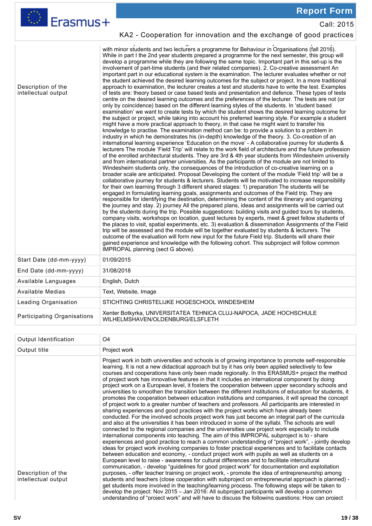|                                           | <b>Report Form</b>                                                                                                                                                                                                                                                                                                                                                                                                                                                                                                                                                                                                                                                                                                                                                                                                                                                                                                                                                                                                                                                                                                                                                                                                                                                                                                                                                                                                                                                                                                                                                                                                                                                                                                                                                                                                                                                                                                                                                                                                                                                                                                                                                                                                                                                                                                                                                                                                                                                                                                                                                                                                                                                                                                                                                                                                                                                                                                                                                                                                                                                                                                                                                                                                                                                                                                                                                                  |
|-------------------------------------------|-------------------------------------------------------------------------------------------------------------------------------------------------------------------------------------------------------------------------------------------------------------------------------------------------------------------------------------------------------------------------------------------------------------------------------------------------------------------------------------------------------------------------------------------------------------------------------------------------------------------------------------------------------------------------------------------------------------------------------------------------------------------------------------------------------------------------------------------------------------------------------------------------------------------------------------------------------------------------------------------------------------------------------------------------------------------------------------------------------------------------------------------------------------------------------------------------------------------------------------------------------------------------------------------------------------------------------------------------------------------------------------------------------------------------------------------------------------------------------------------------------------------------------------------------------------------------------------------------------------------------------------------------------------------------------------------------------------------------------------------------------------------------------------------------------------------------------------------------------------------------------------------------------------------------------------------------------------------------------------------------------------------------------------------------------------------------------------------------------------------------------------------------------------------------------------------------------------------------------------------------------------------------------------------------------------------------------------------------------------------------------------------------------------------------------------------------------------------------------------------------------------------------------------------------------------------------------------------------------------------------------------------------------------------------------------------------------------------------------------------------------------------------------------------------------------------------------------------------------------------------------------------------------------------------------------------------------------------------------------------------------------------------------------------------------------------------------------------------------------------------------------------------------------------------------------------------------------------------------------------------------------------------------------------------------------------------------------------------------------------------------------|
| Erasmus+                                  | Call: 2015                                                                                                                                                                                                                                                                                                                                                                                                                                                                                                                                                                                                                                                                                                                                                                                                                                                                                                                                                                                                                                                                                                                                                                                                                                                                                                                                                                                                                                                                                                                                                                                                                                                                                                                                                                                                                                                                                                                                                                                                                                                                                                                                                                                                                                                                                                                                                                                                                                                                                                                                                                                                                                                                                                                                                                                                                                                                                                                                                                                                                                                                                                                                                                                                                                                                                                                                                                          |
|                                           | KA2 - Cooperation for innovation and the exchange of good practices                                                                                                                                                                                                                                                                                                                                                                                                                                                                                                                                                                                                                                                                                                                                                                                                                                                                                                                                                                                                                                                                                                                                                                                                                                                                                                                                                                                                                                                                                                                                                                                                                                                                                                                                                                                                                                                                                                                                                                                                                                                                                                                                                                                                                                                                                                                                                                                                                                                                                                                                                                                                                                                                                                                                                                                                                                                                                                                                                                                                                                                                                                                                                                                                                                                                                                                 |
| Description of the<br>intellectual output | with minor students and two lecturers a programme for Behaviour in Organisations (fall 2016).<br>While in part I the 2nd year students prepared a programme for the next semester, this group will<br>develop a programme while they are following the same topic. Important part in this set-up is the<br>involvement of part-time students (and their related companies). 2. Co-creative assessment An<br>important part in our educational system is the examination. The lecturer evaluates whether or not<br>the student achieved the desired learning outcomes for the subject or project. In a more traditional<br>approach to examination, the lecturer creates a test and students have to write the test. Examples<br>of tests are: theory based or case based tests and presentation and defence. These types of tests<br>centre on the desired learning outcomes and the preferences of the lecturer. The tests are not (or<br>only by coincidence) based on the different learning styles of the students. In 'student based<br>examination' we want to create tests by which the student shows the desired learning outcome for<br>the subject or project, while taking into account his preferred learning style. For example a student<br>might have a more practical approach to theory, in that case he might want to transfer his<br>knowledge to practise. The examination method can be: to provide a solution to a problem in<br>industry in which he demonstrates his (in-depth) knowledge of the theory. 3. Co-creation of an<br>international learning experience 'Education on the move' - A collaborative journey for students &<br>lecturers The module 'Field Trip' will relate to the work field of architecture and the future profession<br>of the enrolled architectural students. They are 3rd & 4th year students from Windesheim university<br>and from international partner universities. As the participants of the module are not limited to<br>Windesheim students only, the consequences of the introduction of co-creative learning on a<br>broader scale are anticipated. Proposal Developing the content of the module 'Field trip' will be a<br>collaborative journey for students & lecturers. Students will be motivated to increase responsibility<br>for their own learning through 3 different shared stages: 1) preparation The students will be<br>engaged in formulating learning goals, assignments and outcomes of the Field trip. They are<br>responsible for identifying the destination, determining the content of the itinerary and organizing<br>the journey and stay. 2) journey All the prepared plans, ideas and assignments will be carried out<br>by the students during the trip. Possible suggestions: building visits and guided tours by students,<br>company visits, workshops on location, guest lectures by experts, meet & greet fellow students of<br>the places to visit, spatial experiments, etc. 3) evaluation & dissemination Assignments of the Field<br>trip will be assessed and the module will be together evaluated by students & lecturers. The<br>outcome of the evaluation will form new input for the future Field trip. Students will share their<br>gained experience and knowledge with the following cohort. This subproject will follow common<br>IMPROPAL planning (sect G above). |
| Start Date (dd-mm-yyyy)                   | 01/09/2015                                                                                                                                                                                                                                                                                                                                                                                                                                                                                                                                                                                                                                                                                                                                                                                                                                                                                                                                                                                                                                                                                                                                                                                                                                                                                                                                                                                                                                                                                                                                                                                                                                                                                                                                                                                                                                                                                                                                                                                                                                                                                                                                                                                                                                                                                                                                                                                                                                                                                                                                                                                                                                                                                                                                                                                                                                                                                                                                                                                                                                                                                                                                                                                                                                                                                                                                                                          |
| End Date (dd-mm-yyyy)                     | 31/08/2018                                                                                                                                                                                                                                                                                                                                                                                                                                                                                                                                                                                                                                                                                                                                                                                                                                                                                                                                                                                                                                                                                                                                                                                                                                                                                                                                                                                                                                                                                                                                                                                                                                                                                                                                                                                                                                                                                                                                                                                                                                                                                                                                                                                                                                                                                                                                                                                                                                                                                                                                                                                                                                                                                                                                                                                                                                                                                                                                                                                                                                                                                                                                                                                                                                                                                                                                                                          |
| Available Languages                       | English, Dutch                                                                                                                                                                                                                                                                                                                                                                                                                                                                                                                                                                                                                                                                                                                                                                                                                                                                                                                                                                                                                                                                                                                                                                                                                                                                                                                                                                                                                                                                                                                                                                                                                                                                                                                                                                                                                                                                                                                                                                                                                                                                                                                                                                                                                                                                                                                                                                                                                                                                                                                                                                                                                                                                                                                                                                                                                                                                                                                                                                                                                                                                                                                                                                                                                                                                                                                                                                      |
| Available Medias                          | Text, Website, Image                                                                                                                                                                                                                                                                                                                                                                                                                                                                                                                                                                                                                                                                                                                                                                                                                                                                                                                                                                                                                                                                                                                                                                                                                                                                                                                                                                                                                                                                                                                                                                                                                                                                                                                                                                                                                                                                                                                                                                                                                                                                                                                                                                                                                                                                                                                                                                                                                                                                                                                                                                                                                                                                                                                                                                                                                                                                                                                                                                                                                                                                                                                                                                                                                                                                                                                                                                |
| Leading Organisation                      | STICHTING CHRISTELIJKE HOGESCHOOL WINDESHEIM                                                                                                                                                                                                                                                                                                                                                                                                                                                                                                                                                                                                                                                                                                                                                                                                                                                                                                                                                                                                                                                                                                                                                                                                                                                                                                                                                                                                                                                                                                                                                                                                                                                                                                                                                                                                                                                                                                                                                                                                                                                                                                                                                                                                                                                                                                                                                                                                                                                                                                                                                                                                                                                                                                                                                                                                                                                                                                                                                                                                                                                                                                                                                                                                                                                                                                                                        |
| Participating Organisations               | Xenter Botkyrka, UNIVERSITATEA TEHNICA CLUJ-NAPOCA, JADE HOCHSCHULE<br>WILHELMSHAVEN/OLDENBURG/ELSFLETH                                                                                                                                                                                                                                                                                                                                                                                                                                                                                                                                                                                                                                                                                                                                                                                                                                                                                                                                                                                                                                                                                                                                                                                                                                                                                                                                                                                                                                                                                                                                                                                                                                                                                                                                                                                                                                                                                                                                                                                                                                                                                                                                                                                                                                                                                                                                                                                                                                                                                                                                                                                                                                                                                                                                                                                                                                                                                                                                                                                                                                                                                                                                                                                                                                                                             |

| Output Identification | O4                                                                                                                                                                                                                                                                                                                                                                                                                                                                                                                                                                                                                                                                                                                                                                                                                                                                                                                                                                                                                                                                                                                                                                                                                                                                                                                                                                                                                                                                                                                                                                                                                                                                                                                                                                                                                                                     |
|-----------------------|--------------------------------------------------------------------------------------------------------------------------------------------------------------------------------------------------------------------------------------------------------------------------------------------------------------------------------------------------------------------------------------------------------------------------------------------------------------------------------------------------------------------------------------------------------------------------------------------------------------------------------------------------------------------------------------------------------------------------------------------------------------------------------------------------------------------------------------------------------------------------------------------------------------------------------------------------------------------------------------------------------------------------------------------------------------------------------------------------------------------------------------------------------------------------------------------------------------------------------------------------------------------------------------------------------------------------------------------------------------------------------------------------------------------------------------------------------------------------------------------------------------------------------------------------------------------------------------------------------------------------------------------------------------------------------------------------------------------------------------------------------------------------------------------------------------------------------------------------------|
| Output title          | Project work                                                                                                                                                                                                                                                                                                                                                                                                                                                                                                                                                                                                                                                                                                                                                                                                                                                                                                                                                                                                                                                                                                                                                                                                                                                                                                                                                                                                                                                                                                                                                                                                                                                                                                                                                                                                                                           |
|                       | Project work in both universities and schools is of growing importance to promote self-responsible<br>learning. It is not a new didactical approach but by it has only been applied selectively to few<br>courses and cooperations have only been made regionally. In this ERASMUS+ project the method<br>of project work has innovative features in that it includes an international component by doing<br>project work on a European level, it fosters the cooperation between upper secondary schools and<br>universities to smoothen the transition between the different institutions of education for students, it<br>promotes the cooperation between education institutions and companies, it will spread the concept<br>of project work to a greater number of teachers and professors. All participants are interested in<br>sharing experiences and good practices with the project works which have already been<br>conducted. For the involved schools project work has just become an integral part of the curricula<br>and also at the universities it has been introduced in some of the syllabi. The schools are well<br>connected to the regional companies and the universities use project work especially to include<br>international components into teaching. The aim of this IMPROPAL subproject is to - share<br>experiences and good practice to reach a common understanding of "project work", - jointly develop<br>ideas for project work involving companies to foster practical experiences and to facilitate contacts<br>between education and economy, - conduct project work with pupils as well as students on a<br>European level to raise - awareness for cultural differences and to facilitate intercultural<br>communication, - develop "guidelines for good project work" for documentation and exploitation |
| Description of the    | purposes, - offer teacher training on project work, - promote the idea of entrepreneurship among                                                                                                                                                                                                                                                                                                                                                                                                                                                                                                                                                                                                                                                                                                                                                                                                                                                                                                                                                                                                                                                                                                                                                                                                                                                                                                                                                                                                                                                                                                                                                                                                                                                                                                                                                       |
| intellectual output   | students and teachers (close cooperation with subproject on entrepreneurial approach is planned) -<br>get students more involved in the teaching/learning process. The following steps will be taken to<br>develop the project: Nov 2015 – Jan 2016: All subproject participants will develop a common                                                                                                                                                                                                                                                                                                                                                                                                                                                                                                                                                                                                                                                                                                                                                                                                                                                                                                                                                                                                                                                                                                                                                                                                                                                                                                                                                                                                                                                                                                                                                 |
|                       | understanding of "project work" and will have to discuss the following questions: How can project                                                                                                                                                                                                                                                                                                                                                                                                                                                                                                                                                                                                                                                                                                                                                                                                                                                                                                                                                                                                                                                                                                                                                                                                                                                                                                                                                                                                                                                                                                                                                                                                                                                                                                                                                      |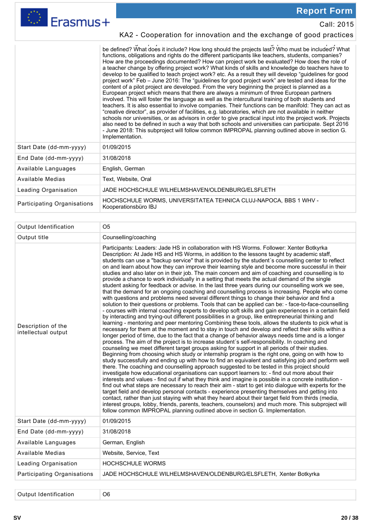

Call: 2015

### KA2 - Cooperation for innovation and the exchange of good practices

understanding of "project work" and will have to discuss the following questions: How can project be defined? What does it include? How long should the projects last? Who must be included? What functions, obligations and rights do the different participants like teachers, students, companies? How are the proceedings documented? How can project work be evaluated? How does the role of a teacher change by offering project work? What kinds of skills and knowledge do teachers have to develop to be qualified to teach project work? etc. As a result they will develop "guidelines for good project work" Feb – June 2016: The "guidelines for good project work" are tested and ideas for the content of a pilot project are developed. From the very beginning the project is planned as a European project which means that there are always a minimum of three European partners involved. This will foster the language as well as the intercultural training of both students and teachers. It is also essential to involve companies. Their functions can be manifold: They can act as "creative director", as provider of facilities, e.g. laboratories, which are not available in neither schools nor universities, or as advisors in order to give practical input into the project work. Projects also need to be defined in such a way that both schools and universities can participate. Sept 2016 - June 2018: This subproject will follow common IMPROPAL planning outlined above in section G. Implementation.

| Start Date (dd-mm-yyyy)            | 01/09/2015                                                                               |
|------------------------------------|------------------------------------------------------------------------------------------|
| End Date (dd-mm-yyyy)              | 31/08/2018                                                                               |
| Available Languages                | English, German                                                                          |
| Available Medias                   | Text, Website, Oral                                                                      |
| Leading Organisation               | JADE HOCHSCHULE WILHELMSHAVEN/OLDENBURG/ELSFLETH                                         |
| <b>Participating Organisations</b> | HOCHSCHULE WORMS, UNIVERSITATEA TEHNICA CLUJ-NAPOCA, BBS 1 WHV -<br>Kooperationsbüro IBJ |

| Output Identification                     | O <sub>5</sub>                                                                                                                                                                                                                                                                                                                                                                                                                                                                                                                                                                                                                                                                                                                                                                                                                                                                                                                                                                                                                                                                                                                                                                                                                                                                                                                                                                                                                                                                                                                                                                                                                                                                                                                                                                                                                                                                                                                                                                                                                                                                                                                                                                                                                                                                                                                                                                                                                                                                                                                                                                                                                                                                                                                                                                                    |
|-------------------------------------------|---------------------------------------------------------------------------------------------------------------------------------------------------------------------------------------------------------------------------------------------------------------------------------------------------------------------------------------------------------------------------------------------------------------------------------------------------------------------------------------------------------------------------------------------------------------------------------------------------------------------------------------------------------------------------------------------------------------------------------------------------------------------------------------------------------------------------------------------------------------------------------------------------------------------------------------------------------------------------------------------------------------------------------------------------------------------------------------------------------------------------------------------------------------------------------------------------------------------------------------------------------------------------------------------------------------------------------------------------------------------------------------------------------------------------------------------------------------------------------------------------------------------------------------------------------------------------------------------------------------------------------------------------------------------------------------------------------------------------------------------------------------------------------------------------------------------------------------------------------------------------------------------------------------------------------------------------------------------------------------------------------------------------------------------------------------------------------------------------------------------------------------------------------------------------------------------------------------------------------------------------------------------------------------------------------------------------------------------------------------------------------------------------------------------------------------------------------------------------------------------------------------------------------------------------------------------------------------------------------------------------------------------------------------------------------------------------------------------------------------------------------------------------------------------------|
| Output title                              | Counselling/coaching                                                                                                                                                                                                                                                                                                                                                                                                                                                                                                                                                                                                                                                                                                                                                                                                                                                                                                                                                                                                                                                                                                                                                                                                                                                                                                                                                                                                                                                                                                                                                                                                                                                                                                                                                                                                                                                                                                                                                                                                                                                                                                                                                                                                                                                                                                                                                                                                                                                                                                                                                                                                                                                                                                                                                                              |
| Description of the<br>intellectual output | Participants: Leaders: Jade HS in collaboration with HS Worms. Follower: Xenter Botkyrka<br>Description: At Jade HS and HS Worms, in addition to the lessons taught by academic staff,<br>students can use a "backup service" that is provided by the student's counselling center to reflect<br>on and learn about how they can improve their learning style and become more successful in their<br>studies and also later on in their job. The main concern and aim of coaching and counselling is to<br>provide a chance to work individually in a setting that meets the actual demand of the single<br>student asking for feedback or advise. In the last three years during our counselling work we see,<br>that the demand for an ongoing coaching and counselling process is increasing. People who come<br>with questions and problems need several different things to change their behavior and find a<br>solution to their questions or problems. Tools that can be applied can be: - face-to-face-counselling<br>- courses with internal coaching experts to develop soft skills and gain experiences in a certain field<br>by interacting and trying-out different possibilities in a group, like entrepreneurial thinking and<br>learning - mentoring and peer mentoring Combining these tools, allows the students to pick what is<br>necessary for them at the moment and to stay in touch and develop and reflect their skills within a<br>longer period of time, due to the fact that a change of behavior always needs time and is a longer<br>process. The aim of the project is to increase student's self-responsibility. In coaching and<br>counseling we meet different target groups asking for support in all periods of their studies.<br>Beginning from choosing which study or internship program is the right one, going on with how to<br>study successfully and ending up with how to find an equivalent and satisfying job and perform well<br>there. The coaching and counselling approach suggested to be tested in this project should<br>investigate how educational organisations can support learners to: - find out more about their<br>interests and values - find out if what they think and imagine is possible in a concrete institution -<br>find out what steps are necessary to reach their aim - start to get into dialogue with experts for the<br>target field and develop personal contacts - experience presenting themselves and getting into<br>contact, rather than just staying with what they heard about their target field from thirds (media,<br>interest groups, lobby, friends, parents, teachers, counselors) and much more. This subproject will<br>follow common IMPROPAL planning outlined above in section G. Implementation. |
| Start Date (dd-mm-yyyy)                   | 01/09/2015                                                                                                                                                                                                                                                                                                                                                                                                                                                                                                                                                                                                                                                                                                                                                                                                                                                                                                                                                                                                                                                                                                                                                                                                                                                                                                                                                                                                                                                                                                                                                                                                                                                                                                                                                                                                                                                                                                                                                                                                                                                                                                                                                                                                                                                                                                                                                                                                                                                                                                                                                                                                                                                                                                                                                                                        |
| End Date (dd-mm-yyyy)                     | 31/08/2018                                                                                                                                                                                                                                                                                                                                                                                                                                                                                                                                                                                                                                                                                                                                                                                                                                                                                                                                                                                                                                                                                                                                                                                                                                                                                                                                                                                                                                                                                                                                                                                                                                                                                                                                                                                                                                                                                                                                                                                                                                                                                                                                                                                                                                                                                                                                                                                                                                                                                                                                                                                                                                                                                                                                                                                        |
| Available Languages                       | German, English                                                                                                                                                                                                                                                                                                                                                                                                                                                                                                                                                                                                                                                                                                                                                                                                                                                                                                                                                                                                                                                                                                                                                                                                                                                                                                                                                                                                                                                                                                                                                                                                                                                                                                                                                                                                                                                                                                                                                                                                                                                                                                                                                                                                                                                                                                                                                                                                                                                                                                                                                                                                                                                                                                                                                                                   |
| Available Medias                          | Website, Service, Text                                                                                                                                                                                                                                                                                                                                                                                                                                                                                                                                                                                                                                                                                                                                                                                                                                                                                                                                                                                                                                                                                                                                                                                                                                                                                                                                                                                                                                                                                                                                                                                                                                                                                                                                                                                                                                                                                                                                                                                                                                                                                                                                                                                                                                                                                                                                                                                                                                                                                                                                                                                                                                                                                                                                                                            |
| Leading Organisation                      | <b>HOCHSCHULE WORMS</b>                                                                                                                                                                                                                                                                                                                                                                                                                                                                                                                                                                                                                                                                                                                                                                                                                                                                                                                                                                                                                                                                                                                                                                                                                                                                                                                                                                                                                                                                                                                                                                                                                                                                                                                                                                                                                                                                                                                                                                                                                                                                                                                                                                                                                                                                                                                                                                                                                                                                                                                                                                                                                                                                                                                                                                           |
| Participating Organisations               | JADE HOCHSCHULE WILHELMSHAVEN/OLDENBURG/ELSFLETH, Xenter Botkyrka                                                                                                                                                                                                                                                                                                                                                                                                                                                                                                                                                                                                                                                                                                                                                                                                                                                                                                                                                                                                                                                                                                                                                                                                                                                                                                                                                                                                                                                                                                                                                                                                                                                                                                                                                                                                                                                                                                                                                                                                                                                                                                                                                                                                                                                                                                                                                                                                                                                                                                                                                                                                                                                                                                                                 |

Output Identification | 06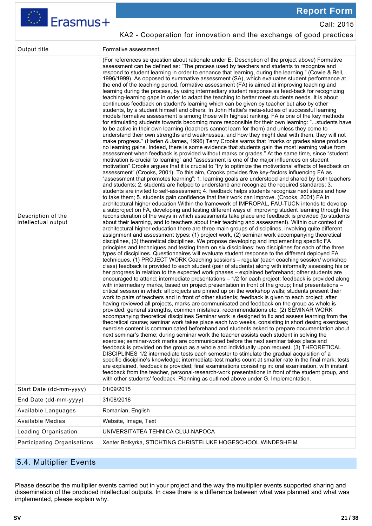

Call: 2015

### KA2 - Cooperation for innovation and the exchange of good practices

| Output title                              | Formative assessment                                                                                                                                                                                                                                                                                                                                                                                                                                                                                                                                                                                                                                                                                                                                                                                                                                                                                                                                                                                                                                                                                                                                                                                                                                                                                                                                                                                                                                                                                                                                                                                                                                                                                                                                                                                                                                                                                                                                                                                                                                                                                                                                                                                                                                                                                                                                                                                                                                                                                                                                                                                                                                                                                                                                                                                                                                                                                                                                                                                                                                                                                                                                                                                                                                                                                                                                                                                                                                                                                                                                                                                                                                                                                                                                                                                                                                                                                                                                                                                                                                                                                                                                                                                                                                                                                                                                                                                                                                                                                                                                                                                                                                                                                                                                                                                                                                                                                                                                                                                                                                                                                                                                                                                                                                                                                                        |
|-------------------------------------------|-----------------------------------------------------------------------------------------------------------------------------------------------------------------------------------------------------------------------------------------------------------------------------------------------------------------------------------------------------------------------------------------------------------------------------------------------------------------------------------------------------------------------------------------------------------------------------------------------------------------------------------------------------------------------------------------------------------------------------------------------------------------------------------------------------------------------------------------------------------------------------------------------------------------------------------------------------------------------------------------------------------------------------------------------------------------------------------------------------------------------------------------------------------------------------------------------------------------------------------------------------------------------------------------------------------------------------------------------------------------------------------------------------------------------------------------------------------------------------------------------------------------------------------------------------------------------------------------------------------------------------------------------------------------------------------------------------------------------------------------------------------------------------------------------------------------------------------------------------------------------------------------------------------------------------------------------------------------------------------------------------------------------------------------------------------------------------------------------------------------------------------------------------------------------------------------------------------------------------------------------------------------------------------------------------------------------------------------------------------------------------------------------------------------------------------------------------------------------------------------------------------------------------------------------------------------------------------------------------------------------------------------------------------------------------------------------------------------------------------------------------------------------------------------------------------------------------------------------------------------------------------------------------------------------------------------------------------------------------------------------------------------------------------------------------------------------------------------------------------------------------------------------------------------------------------------------------------------------------------------------------------------------------------------------------------------------------------------------------------------------------------------------------------------------------------------------------------------------------------------------------------------------------------------------------------------------------------------------------------------------------------------------------------------------------------------------------------------------------------------------------------------------------------------------------------------------------------------------------------------------------------------------------------------------------------------------------------------------------------------------------------------------------------------------------------------------------------------------------------------------------------------------------------------------------------------------------------------------------------------------------------------------------------------------------------------------------------------------------------------------------------------------------------------------------------------------------------------------------------------------------------------------------------------------------------------------------------------------------------------------------------------------------------------------------------------------------------------------------------------------------------------------------------------------------------------------------------------------------------------------------------------------------------------------------------------------------------------------------------------------------------------------------------------------------------------------------------------------------------------------------------------------------------------------------------------------------------------------------------------------------------------------------------------------------------------------------|
| Description of the<br>intellectual output | (For references se question about rationale under E. Description of the project above) Formative<br>assessment can be defined as: "The process used by teachers and students to recognize and<br>respond to student learning in order to enhance that learning, during the learning." (Cowie & Bell,<br>1996/1999). As opposed to summative assessment (SA), which evaluates student performance at<br>the end of the teaching period, formative assessment (FA) is aimed at improving teaching and<br>learning during the process, by using intermediary student response as feed-back for recognizing<br>teaching-learning gaps in order to adapt the teaching to better meet students needs. It is about<br>continuous feedback on student's learning which can be given by teacher but also by other<br>students, by a student himself and others. In John Hattie's meta-studies of successful learning<br>models formative assessment is among those with highest ranking. FA is one of the key methods<br>for stimulating students towards becoming more responsible for their own learning: "students have<br>to be active in their own learning (teachers cannot learn for them) and unless they come to<br>understand their own strengths and weaknesses, and how they might deal with them, they will not<br>make progress." (Harlen & James, 1996) Terry Crooks warns that "marks or grades alone produce<br>no learning gains. Indeed, there is some evidence that students gain the most learning value from<br>assessment when feedback is provided without marks or grades." At the same time, since "student<br>motivation is crucial to learning" and "assessment is one of the major influences on student<br>motivation" Crooks argues that it is crucial to "try to optimize the motivational effects of feedback on<br>assessment" (Crooks, 2001). To this aim, Crooks provides five key-factors influencing FA as<br>"assessment that promotes learning": 1. learning goals are understood and shared by both teachers<br>and students; 2. students are helped to understand and recognize the required standards; 3.<br>students are invited to self-assessment; 4. feedback helps students recognize next steps and how<br>to take them; 5. students gain confidence that their work can improve. (Crooks, 2001) FA in<br>architectural higher education Within the framework of IMPROPAL, FAU-TUCN intends to develop<br>a subproject on FA, developing and testing different ways of improving student learning through the<br>reconsideration of the ways in which assessments take place and feedback is provided (to students<br>about their learning, and to teachers about their teaching and assessment). Within our context of<br>architectural higher education there are three main groups of disciplines, involving quite different<br>assignment and assessment types: (1) project work, (2) seminar work accompanying theoretical<br>disciplines, (3) theoretical disciplines. We propose developing and implementing specific FA<br>principles and techniques and testing them on six disciplines: two disciplines for each of the three<br>types of disciplines. Questionnaires will evaluate student response to the different deployed FA<br>techniques. (1) PROJECT WORK Coaching sessions - regular (each coaching session/ workshop<br>class) feedback is provided to each student (pair of students) along with informally assessing his or<br>her progress in relation to the expected work phases – explained beforehand; other students are<br>encouraged to attend; intermediate presentations – 1/2 for each project; feedback is provided along<br>with intermediary marks, based on project presentation in front of the group; final presentations –<br>critical session in which: all projects are pinned up on the workshop walls; students present their<br>work to pairs of teachers and in front of other students; feedback is given to each project; after<br>having reviewed all projects, marks are communicated and feedback on the group as whole is<br>provided: general strengths, common mistakes, recommendations etc. (2) SEMINAR WORK<br>accompanying theoretical disciplines Seminar work is designed to fix and assess learning from the<br>theoretical course; seminar work takes place each two weeks, consisting in short desing exercises;<br>exercise content is communicated beforehand and students asked to prepare documentation about<br>next seminar's theme; during seminar work the teacher assists each student in solving the<br>exercise; seminar-work marks are communicated before the next seminar takes place and<br>feedback is provided on the group as a whole and individually upon request. (3) THEORETICAL<br>DISCIPLINES 1/2 intermediate tests each semester to stimulate the gradual acquisition of a<br>specific discipline's knowledge; intermediate-test marks count at smaller rate in the final mark; tests<br>are explained, feedback is provided; final examinations consisting in: oral examination, with instant<br>feedback from the teacher, personal-research-work presentations in front of the student group, and<br>with other students' feedback. Planning as outlined above under G. Implementation. |
| Start Date (dd-mm-yyyy)                   | 01/09/2015                                                                                                                                                                                                                                                                                                                                                                                                                                                                                                                                                                                                                                                                                                                                                                                                                                                                                                                                                                                                                                                                                                                                                                                                                                                                                                                                                                                                                                                                                                                                                                                                                                                                                                                                                                                                                                                                                                                                                                                                                                                                                                                                                                                                                                                                                                                                                                                                                                                                                                                                                                                                                                                                                                                                                                                                                                                                                                                                                                                                                                                                                                                                                                                                                                                                                                                                                                                                                                                                                                                                                                                                                                                                                                                                                                                                                                                                                                                                                                                                                                                                                                                                                                                                                                                                                                                                                                                                                                                                                                                                                                                                                                                                                                                                                                                                                                                                                                                                                                                                                                                                                                                                                                                                                                                                                                                  |
| End Date (dd-mm-yyyy)                     | 31/08/2018                                                                                                                                                                                                                                                                                                                                                                                                                                                                                                                                                                                                                                                                                                                                                                                                                                                                                                                                                                                                                                                                                                                                                                                                                                                                                                                                                                                                                                                                                                                                                                                                                                                                                                                                                                                                                                                                                                                                                                                                                                                                                                                                                                                                                                                                                                                                                                                                                                                                                                                                                                                                                                                                                                                                                                                                                                                                                                                                                                                                                                                                                                                                                                                                                                                                                                                                                                                                                                                                                                                                                                                                                                                                                                                                                                                                                                                                                                                                                                                                                                                                                                                                                                                                                                                                                                                                                                                                                                                                                                                                                                                                                                                                                                                                                                                                                                                                                                                                                                                                                                                                                                                                                                                                                                                                                                                  |
| Available Languages                       | Romanian, English                                                                                                                                                                                                                                                                                                                                                                                                                                                                                                                                                                                                                                                                                                                                                                                                                                                                                                                                                                                                                                                                                                                                                                                                                                                                                                                                                                                                                                                                                                                                                                                                                                                                                                                                                                                                                                                                                                                                                                                                                                                                                                                                                                                                                                                                                                                                                                                                                                                                                                                                                                                                                                                                                                                                                                                                                                                                                                                                                                                                                                                                                                                                                                                                                                                                                                                                                                                                                                                                                                                                                                                                                                                                                                                                                                                                                                                                                                                                                                                                                                                                                                                                                                                                                                                                                                                                                                                                                                                                                                                                                                                                                                                                                                                                                                                                                                                                                                                                                                                                                                                                                                                                                                                                                                                                                                           |
| Available Medias                          | Website, Image, Text                                                                                                                                                                                                                                                                                                                                                                                                                                                                                                                                                                                                                                                                                                                                                                                                                                                                                                                                                                                                                                                                                                                                                                                                                                                                                                                                                                                                                                                                                                                                                                                                                                                                                                                                                                                                                                                                                                                                                                                                                                                                                                                                                                                                                                                                                                                                                                                                                                                                                                                                                                                                                                                                                                                                                                                                                                                                                                                                                                                                                                                                                                                                                                                                                                                                                                                                                                                                                                                                                                                                                                                                                                                                                                                                                                                                                                                                                                                                                                                                                                                                                                                                                                                                                                                                                                                                                                                                                                                                                                                                                                                                                                                                                                                                                                                                                                                                                                                                                                                                                                                                                                                                                                                                                                                                                                        |
| Leading Organisation                      | UNIVERSITATEA TEHNICA CLUJ-NAPOCA                                                                                                                                                                                                                                                                                                                                                                                                                                                                                                                                                                                                                                                                                                                                                                                                                                                                                                                                                                                                                                                                                                                                                                                                                                                                                                                                                                                                                                                                                                                                                                                                                                                                                                                                                                                                                                                                                                                                                                                                                                                                                                                                                                                                                                                                                                                                                                                                                                                                                                                                                                                                                                                                                                                                                                                                                                                                                                                                                                                                                                                                                                                                                                                                                                                                                                                                                                                                                                                                                                                                                                                                                                                                                                                                                                                                                                                                                                                                                                                                                                                                                                                                                                                                                                                                                                                                                                                                                                                                                                                                                                                                                                                                                                                                                                                                                                                                                                                                                                                                                                                                                                                                                                                                                                                                                           |
| Participating Organisations               | Xenter Botkyrka, STICHTING CHRISTELIJKE HOGESCHOOL WINDESHEIM                                                                                                                                                                                                                                                                                                                                                                                                                                                                                                                                                                                                                                                                                                                                                                                                                                                                                                                                                                                                                                                                                                                                                                                                                                                                                                                                                                                                                                                                                                                                                                                                                                                                                                                                                                                                                                                                                                                                                                                                                                                                                                                                                                                                                                                                                                                                                                                                                                                                                                                                                                                                                                                                                                                                                                                                                                                                                                                                                                                                                                                                                                                                                                                                                                                                                                                                                                                                                                                                                                                                                                                                                                                                                                                                                                                                                                                                                                                                                                                                                                                                                                                                                                                                                                                                                                                                                                                                                                                                                                                                                                                                                                                                                                                                                                                                                                                                                                                                                                                                                                                                                                                                                                                                                                                               |

### 5.4. Multiplier Events

Please describe the multiplier events carried out in your project and the way the multiplier events supported sharing and dissemination of the produced intellectual outputs. In case there is a difference between what was planned and what was implemented, please explain why.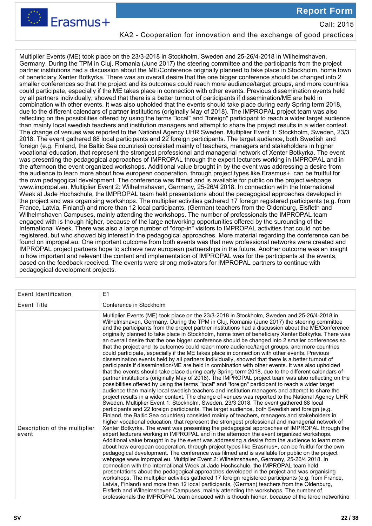

Call: 2015

### KA2 - Cooperation for innovation and the exchange of good practices

Multiplier Events (ME) took place on the 23/3-2018 in Stockholm, Sweden and 25-26/4-2018 in Wilhelmshaven, Germany. During the TPM in Cluj, Romania (June 2017) the steering committee and the participants from the project partner institutions had a discussion about the ME/Conference originally planned to take place in Stockholm, home town of beneficiary Xenter Botkyrka. There was an overall desire that the one bigger conference should be changed into 2 smaller conferences so that the project and its outcomes could reach more audience/target groups, and more countries could participate, especially if the ME takes place in connection with other events. Previous dissemination events held by all partners individually, showed that there is a better turnout of participants if dissemination/ME are held in combination with other events. It was also upholded that the events should take place during early Spring term 2018, due to the different calendars of partner institutions (originally May of 2018). The IMPROPAL project team was also reflecting on the possibilities offered by using the terms "local" and "foreign" participant to reach a wider target audience than mainly local swedish teachers and institution managers and attempt to share the project results in a wider context. The change of venues was reported to the National Agency UHR Sweden. Multiplier Event 1: Stockholm, Sweden, 23/3 2018. The event gathered 88 local participants and 22 foreign participants. The target audience, both Swedish and foreign (e.g. Finland, the Baltic Sea countries) consisted mainly of teachers, managers and stakeholders in higher vocational education, that represent the strongest professional and managerial network of Xenter Botkyrka. The event was presenting the pedagogical approaches of IMPROPAL through the expert lecturers working in IMPROPAL and in the afternoon the event organized workshops. Additional value brought in by the event was addressing a desire from the audience to learn more about how european cooperation, through project types like Erasmus+, can be fruitful for the own pedagogical development. The conference was filmed and is available for public on the project webpage www.impropal.eu. Multiplier Event 2: Wilhelmshaven, Germany, 25-26/4 2018. In connection with the International Week at Jade Hochschule, the IMPROPAL team held presentations about the pedagogical approaches developed in the project and was organising workshops. The multiplier activities gathered 17 foreign registered participants (e.g. from France, Latvia, Finland) and more than 12 local participants, (German) teachers from the Oldenburg, Elsfleth and Wilhelmshaven Campuses, mainly attending the workshops. The number of professionals the IMPROPAL team engaged with is though higher, because of the large networking opportunities offered by the surounding of the International Week. There was also a large number of "drop-in" visitors to IMPROPAL activities that could not be registered, but who showed big interest in the pedagogical approaches. More material regarding the conference can be found on impropal.eu. One important outcome from both events was that new professional networks were created and IMPROPAL project partners hope to achieve new european partnerships in the future. Another outcome was an insight in how important and relevant the content and implementation of IMPROPAL was for the participants at the events, based on the feedback received. The events were strong motivators for IMPROPAL partners to continue with pedagogical development projects.

| Event Identification                   | E1                                                                                                                                                                                                                                                                                                                                                                                                                                                                                                                                                                                                                                                                                                                                                                                                                                                                                                                                                                                                                                                                                                                                                                                                                                                                                                                                                                                                                                                                                                                                                                                                                                                                                                                                                                                                                                                                                                                                                                                                                                                                                                                                                                                                                                                                                                                                                                                                                                                                                                                                                                                                                                                                                                                                                                                                                                                                                                                                                                                                                         |
|----------------------------------------|----------------------------------------------------------------------------------------------------------------------------------------------------------------------------------------------------------------------------------------------------------------------------------------------------------------------------------------------------------------------------------------------------------------------------------------------------------------------------------------------------------------------------------------------------------------------------------------------------------------------------------------------------------------------------------------------------------------------------------------------------------------------------------------------------------------------------------------------------------------------------------------------------------------------------------------------------------------------------------------------------------------------------------------------------------------------------------------------------------------------------------------------------------------------------------------------------------------------------------------------------------------------------------------------------------------------------------------------------------------------------------------------------------------------------------------------------------------------------------------------------------------------------------------------------------------------------------------------------------------------------------------------------------------------------------------------------------------------------------------------------------------------------------------------------------------------------------------------------------------------------------------------------------------------------------------------------------------------------------------------------------------------------------------------------------------------------------------------------------------------------------------------------------------------------------------------------------------------------------------------------------------------------------------------------------------------------------------------------------------------------------------------------------------------------------------------------------------------------------------------------------------------------------------------------------------------------------------------------------------------------------------------------------------------------------------------------------------------------------------------------------------------------------------------------------------------------------------------------------------------------------------------------------------------------------------------------------------------------------------------------------------------------|
| <b>Event Title</b>                     | Conference in Stockholm                                                                                                                                                                                                                                                                                                                                                                                                                                                                                                                                                                                                                                                                                                                                                                                                                                                                                                                                                                                                                                                                                                                                                                                                                                                                                                                                                                                                                                                                                                                                                                                                                                                                                                                                                                                                                                                                                                                                                                                                                                                                                                                                                                                                                                                                                                                                                                                                                                                                                                                                                                                                                                                                                                                                                                                                                                                                                                                                                                                                    |
| Description of the multiplier<br>event | Multiplier Events (ME) took place on the 23/3-2018 in Stockholm, Sweden and 25-26/4-2018 in<br>Wilhelmshaven, Germany. During the TPM in Cluj, Romania (June 2017) the steering committee<br>and the participants from the project partner institutions had a discussion about the ME/Conference<br>originally planned to take place in Stockholm, home town of beneficiary Xenter Botkyrka. There was<br>an overall desire that the one bigger conference should be changed into 2 smaller conferences so<br>that the project and its outcomes could reach more audience/target groups, and more countries<br>could participate, especially if the ME takes place in connection with other events. Previous<br>dissemination events held by all partners individually, showed that there is a better turnout of<br>participants if dissemination/ME are held in combination with other events. It was also upholded<br>that the events should take place during early Spring term 2018, due to the different calendars of<br>partner institutions (originally May of 2018). The IMPROPAL project team was also reflecting on the<br>possibilities offered by using the terms "local" and "foreign" participant to reach a wider target<br>audience than mainly local swedish teachers and institution managers and attempt to share the<br>project results in a wider context. The change of venues was reported to the National Agency UHR<br>Sweden. Multiplier Event 1: Stockholm, Sweden, 23/3 2018. The event gathered 88 local<br>participants and 22 foreign participants. The target audience, both Swedish and foreign (e.g.<br>Finland, the Baltic Sea countries) consisted mainly of teachers, managers and stakeholders in<br>higher vocational education, that represent the strongest professional and managerial network of<br>Xenter Botkyrka. The event was presenting the pedagogical approaches of IMPROPAL through the<br>expert lecturers working in IMPROPAL and in the afternoon the event organized workshops.<br>Additional value brought in by the event was addressing a desire from the audience to learn more<br>about how european cooperation, through project types like Erasmus+, can be fruitful for the own<br>pedagogical development. The conference was filmed and is available for public on the project<br>webpage www.impropal.eu. Multiplier Event 2: Wilhelmshaven, Germany, 25-26/4 2018. In<br>connection with the International Week at Jade Hochschule, the IMPROPAL team held<br>presentations about the pedagogical approaches developed in the project and was organising<br>workshops. The multiplier activities gathered 17 foreign registered participants (e.g. from France,<br>Latvia, Finland) and more than 12 local participants, (German) teachers from the Oldenburg,<br>Elsfleth and Wilhelmshaven Campuses, mainly attending the workshops. The number of<br>professionals the IMPROPAL team engaged with is though higher, because of the large networking |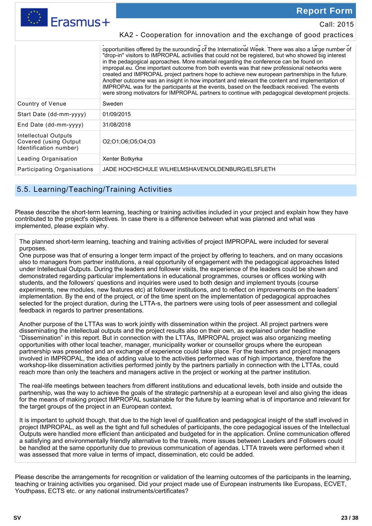Erasmus+

**Report Form** 

Call: 2015

|                                                                         | opportunities offered by the surounding of the International Week. There was also a large number of<br>"drop-in" visitors to IMPROPAL activities that could not be registered, but who showed big interest<br>in the pedagogical approaches. More material regarding the conference can be found on<br>impropal.eu. One important outcome from both events was that new professional networks were<br>created and IMPROPAL project partners hope to achieve new european partnerships in the future.<br>Another outcome was an insight in how important and relevant the content and implementation of<br>IMPROPAL was for the participants at the events, based on the feedback received. The events<br>were strong motivators for IMPROPAL partners to continue with pedagogical development projects. |
|-------------------------------------------------------------------------|----------------------------------------------------------------------------------------------------------------------------------------------------------------------------------------------------------------------------------------------------------------------------------------------------------------------------------------------------------------------------------------------------------------------------------------------------------------------------------------------------------------------------------------------------------------------------------------------------------------------------------------------------------------------------------------------------------------------------------------------------------------------------------------------------------|
| Country of Venue                                                        | Sweden                                                                                                                                                                                                                                                                                                                                                                                                                                                                                                                                                                                                                                                                                                                                                                                                   |
| Start Date (dd-mm-yyyy)                                                 | 01/09/2015                                                                                                                                                                                                                                                                                                                                                                                                                                                                                                                                                                                                                                                                                                                                                                                               |
| End Date $(dd-mm-yyyy)$                                                 | 31/08/2018                                                                                                                                                                                                                                                                                                                                                                                                                                                                                                                                                                                                                                                                                                                                                                                               |
| Intellectual Outputs<br>Covered (using Output<br>Identification number) | 02:01:06:05:04:03                                                                                                                                                                                                                                                                                                                                                                                                                                                                                                                                                                                                                                                                                                                                                                                        |
| Leading Organisation                                                    | Xenter Botkyrka                                                                                                                                                                                                                                                                                                                                                                                                                                                                                                                                                                                                                                                                                                                                                                                          |
| Participating Organisations                                             | JADE HOCHSCHULE WILHELMSHAVEN/OLDENBURG/ELSFLETH                                                                                                                                                                                                                                                                                                                                                                                                                                                                                                                                                                                                                                                                                                                                                         |
|                                                                         |                                                                                                                                                                                                                                                                                                                                                                                                                                                                                                                                                                                                                                                                                                                                                                                                          |

KA2 - Cooperation for innovation and the exchange of good practices

### 5.5. Learning/Teaching/Training Activities

Please describe the short-term learning, teaching or training activities included in your project and explain how they have contributed to the project's objectives. In case there is a difference between what was planned and what was implemented, please explain why.

The planned short-term learning, teaching and training activities of project IMPROPAL were included for several purposes.

One purpose was that of ensuring a longer term impact of the project by offering to teachers, and on many occasions also to managers from partner institutions, a real opportunity of engagement with the pedagogical approaches listed under Intellectual Outputs. During the leaders and follower visits, the experience of the leaders could be shown and demonstrated regarding particular implementations in educational programmes, courses or offices working with students, and the followers' questions and inquiries were used to both design and implement tryouts (course experiments, new modules, new features etc) at follower institutions, and to reflect on improvements on the leaders' implementation. By the end of the project, or of the time spent on the implementation of pedagogical approaches selected for the project duration, during the LTTA-s, the partners were using tools of peer assessment and collegial feedback in regards to partner presentations.

Another purpose of the LTTAs was to work jointly with dissemination within the project. All project partners were disseminating the intellectual outputs and the project results also on their own, as explained under headline "Dissemination" in this report. But in connection with the LTTAs, IMPROPAL project was also organizing meeting opportunities with other local teacher, manager, municipality worker or counsellor groups where the european partnership was presented and an exchange of experience could take place. For the teachers and project managers involved in IMPROPAL, the idea of adding value to the activities performed was of high importance, therefore the workshop-like dissemination activities performed jointly by the partners partially in connection with the LTTAs, could reach more than only the teachers and managers active in the project or working at the partner institution.

The real-life meetings between teachers from different institutions and educational levels, both inside and outside the partnership, was the way to achieve the goals of the strategic partnership at a european level and also giving the ideas for the means of making project IMPROPAL sustainable for the future by learning what is of importance and relevant for the target groups of the project in an European context.

It is important to uphold though, that due to the high level of qualification and pedagogical insight of the staff involved in project IMPROPAL, as well as the tight and full schedules of participants, the core pedagogical issues of the Intellectual Outputs were handled more efficient than anticipated and budgeted for in the application. Online communication offered a satisfying and environmentally friendly alternative to the travels, more issues between Leaders and Followers could be handled at the same opportunity due to previous communication of agendas. LTTA travels were performed when it was assessed that more value in terms of impact, dissemination, etc could be added.

Please describe the arrangements for recognition or validation of the learning outcomes of the participants in the learning, teaching or training activities you organised. Did your project made use of European instruments like Europass, ECVET, Youthpass, ECTS etc. or any national instruments/certificates?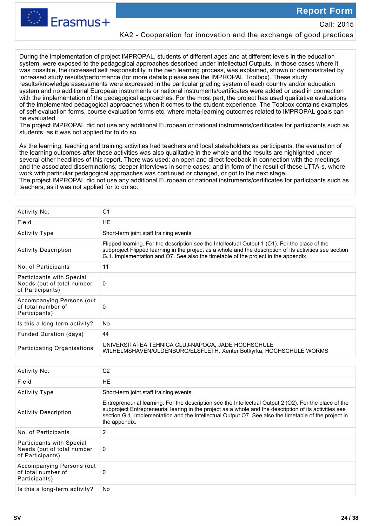Call: 2015



KA2 - Cooperation for innovation and the exchange of good practices

During the implementation of project IMPROPAL, students of different ages and at different levels in the education system, were exposed to the pedagogical approaches described under Intellectual Outputs. In those cases where it was possible, the increased self responsibility in the own learning process, was explained, shown or demonstrated by increased study results/performance (for more details please see the IMPROPAL Toolbox). These study results/knowledge assessments were expressed in the particular grading system of each country and/or education system and no additional European instruments or national instruments/certificates were added or used in connection with the implementation of the pedagogical approaches. For the most part, the project has used qualitative evaluations of the implemented pedagogical approaches when it comes to the student experience. The Toolbox contains examples of self-evaluation forms, course evaluation forms etc. where meta-learning outcomes related to IMPROPAL goals can be evaluated.

The project IMPROPAL did not use any additional European or national instruments/certificates for participants such as students, as it was not applied for to do so.

As the learning, teaching and training activities had teachers and local stakeholders as participants, the evaluation of the learning outcomes after these activities was also qualitative in the whole and the results are highlighted under several other headlines of this report. There was used: an open and direct feedback in connection with the meetings and the associated disseminations; deeper interviews in some cases; and in form of the result of these LTTA-s, where work with particular pedagogical approaches was continued or changed, or got to the next stage.

The project IMPROPAL did not use any additional European or national instruments/certificates for participants such as teachers, as it was not applied for to do so.

| Activity No.                                                                       | C <sub>1</sub>                                                                                                                                                                                                                                                                                 |
|------------------------------------------------------------------------------------|------------------------------------------------------------------------------------------------------------------------------------------------------------------------------------------------------------------------------------------------------------------------------------------------|
| Field                                                                              | <b>HE</b>                                                                                                                                                                                                                                                                                      |
| <b>Activity Type</b>                                                               | Short-term joint staff training events                                                                                                                                                                                                                                                         |
| <b>Activity Description</b>                                                        | Flipped learning. For the description see the Intellectual Output 1 (O1). For the place of the<br>subproject Flipped learning in the project as a whole and the description of its activities see section<br>G.1. Implementation and O7. See also the timetable of the project in the appendix |
| No. of Participants                                                                | 11                                                                                                                                                                                                                                                                                             |
| <b>Participants with Special</b><br>Needs (out of total number<br>of Participants) | 0                                                                                                                                                                                                                                                                                              |
| Accompanying Persons (out<br>of total number of<br>Participants)                   | 0                                                                                                                                                                                                                                                                                              |
| Is this a long-term activity?                                                      | No.                                                                                                                                                                                                                                                                                            |
| <b>Funded Duration (days)</b>                                                      | 44                                                                                                                                                                                                                                                                                             |
| Participating Organisations                                                        | UNIVERSITATEA TEHNICA CLUJ-NAPOCA, JADE HOCHSCHULE<br>WILHELMSHAVEN/OLDENBURG/ELSFLETH, Xenter Botkyrka, HOCHSCHULE WORMS                                                                                                                                                                      |
|                                                                                    |                                                                                                                                                                                                                                                                                                |

| Activity No.                                                                | C <sub>2</sub>                                                                                                                                                                                                                                                                                                                            |
|-----------------------------------------------------------------------------|-------------------------------------------------------------------------------------------------------------------------------------------------------------------------------------------------------------------------------------------------------------------------------------------------------------------------------------------|
| Field                                                                       | HE                                                                                                                                                                                                                                                                                                                                        |
| <b>Activity Type</b>                                                        | Short-term joint staff training events                                                                                                                                                                                                                                                                                                    |
| <b>Activity Description</b>                                                 | Entrepreneurial learning. For the description see the Intellectual Output 2 (O2). For the place of the<br>subproject Entrepreneurial learing in the project as a whole and the description of its activities see<br>section G.1. Implementation and the Intellectual Output O7. See also the timetable of the project in<br>the appendix. |
| No. of Participants                                                         | 2                                                                                                                                                                                                                                                                                                                                         |
| Participants with Special<br>Needs (out of total number<br>of Participants) | $\mathbf{0}$                                                                                                                                                                                                                                                                                                                              |
| Accompanying Persons (out<br>of total number of<br>Participants)            | 0                                                                                                                                                                                                                                                                                                                                         |
| Is this a long-term activity?                                               | No.                                                                                                                                                                                                                                                                                                                                       |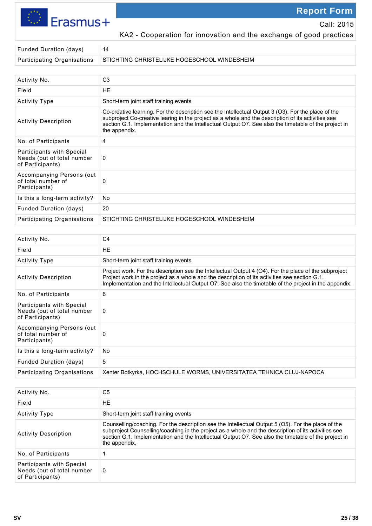Erasmus+

**Report Form** 

Call: 2015

KA2 - Cooperation for innovation and the exchange of good practices

| Funded Duration (days)   14 |                                                                            |
|-----------------------------|----------------------------------------------------------------------------|
|                             | Participating Organisations   STICHTING CHRISTELIJKE HOGESCHOOL WINDESHEIM |

| Activity No.                                                                | C <sub>3</sub>                                                                                                                                                                                                                                                                                                                    |
|-----------------------------------------------------------------------------|-----------------------------------------------------------------------------------------------------------------------------------------------------------------------------------------------------------------------------------------------------------------------------------------------------------------------------------|
| Field                                                                       | <b>HE</b>                                                                                                                                                                                                                                                                                                                         |
| <b>Activity Type</b>                                                        | Short-term joint staff training events                                                                                                                                                                                                                                                                                            |
| <b>Activity Description</b>                                                 | Co-creative learning. For the description see the Intellectual Output 3 (O3). For the place of the<br>subproject Co-creative learing in the project as a whole and the description of its activities see<br>section G.1. Implementation and the Intellectual Output O7. See also the timetable of the project in<br>the appendix. |
| No. of Participants                                                         | 4                                                                                                                                                                                                                                                                                                                                 |
| Participants with Special<br>Needs (out of total number<br>of Participants) | 0                                                                                                                                                                                                                                                                                                                                 |
| Accompanying Persons (out)<br>of total number of<br>Participants)           | 0                                                                                                                                                                                                                                                                                                                                 |
| Is this a long-term activity?                                               | No                                                                                                                                                                                                                                                                                                                                |
| Funded Duration (days)                                                      | 20                                                                                                                                                                                                                                                                                                                                |
| Participating Organisations                                                 | STICHTING CHRISTELIJKE HOGESCHOOL WINDESHEIM                                                                                                                                                                                                                                                                                      |

| Activity No.                                                                | C <sub>4</sub>                                                                                                                                                                                                                                                                                                  |
|-----------------------------------------------------------------------------|-----------------------------------------------------------------------------------------------------------------------------------------------------------------------------------------------------------------------------------------------------------------------------------------------------------------|
| Field                                                                       | <b>HE</b>                                                                                                                                                                                                                                                                                                       |
| <b>Activity Type</b>                                                        | Short-term joint staff training events                                                                                                                                                                                                                                                                          |
| <b>Activity Description</b>                                                 | Project work. For the description see the Intellectual Output 4 (O4). For the place of the subproject<br>Project work in the project as a whole and the description of its activities see section G.1.<br>Implementation and the Intellectual Output O7. See also the timetable of the project in the appendix. |
| No. of Participants                                                         | 6                                                                                                                                                                                                                                                                                                               |
| Participants with Special<br>Needs (out of total number<br>of Participants) | 0                                                                                                                                                                                                                                                                                                               |
| Accompanying Persons (out<br>of total number of<br>Participants)            | 0                                                                                                                                                                                                                                                                                                               |
| Is this a long-term activity?                                               | No.                                                                                                                                                                                                                                                                                                             |
| <b>Funded Duration (days)</b>                                               | 5                                                                                                                                                                                                                                                                                                               |
| Participating Organisations                                                 | Xenter Botkyrka, HOCHSCHULE WORMS, UNIVERSITATEA TEHNICA CLUJ-NAPOCA                                                                                                                                                                                                                                            |
|                                                                             |                                                                                                                                                                                                                                                                                                                 |

| Activity No.                                                                | C5                                                                                                                                                                                                                                                                                                                                 |
|-----------------------------------------------------------------------------|------------------------------------------------------------------------------------------------------------------------------------------------------------------------------------------------------------------------------------------------------------------------------------------------------------------------------------|
| Field                                                                       | HE                                                                                                                                                                                                                                                                                                                                 |
| <b>Activity Type</b>                                                        | Short-term joint staff training events                                                                                                                                                                                                                                                                                             |
| <b>Activity Description</b>                                                 | Counselling/coaching. For the description see the Intellectual Output 5 (O5). For the place of the<br>subproject Counselling/coaching in the project as a whole and the description of its activities see<br>section G.1. Implementation and the Intellectual Output O7. See also the timetable of the project in<br>the appendix. |
| No. of Participants                                                         |                                                                                                                                                                                                                                                                                                                                    |
| Participants with Special<br>Needs (out of total number<br>of Participants) | 0                                                                                                                                                                                                                                                                                                                                  |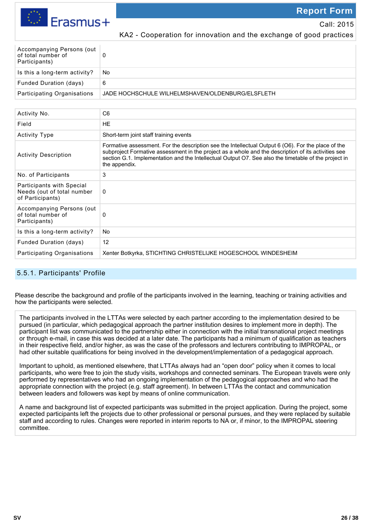

Call: 2015

KA2 - Cooperation for innovation and the exchange of good practices

| Accompanying Persons (out<br>of total number of<br>Participants) |                                                  |
|------------------------------------------------------------------|--------------------------------------------------|
| Is this a long-term activity?                                    | No                                               |
| <b>Funded Duration (days)</b>                                    | 6                                                |
| <b>Participating Organisations</b>                               | JADE HOCHSCHULE WILHELMSHAVEN/OLDENBURG/ELSFLETH |

| Activity No.                                                                | C <sub>6</sub>                                                                                                                                                                                                                                                                                                                     |
|-----------------------------------------------------------------------------|------------------------------------------------------------------------------------------------------------------------------------------------------------------------------------------------------------------------------------------------------------------------------------------------------------------------------------|
| Field                                                                       | <b>HE</b>                                                                                                                                                                                                                                                                                                                          |
| <b>Activity Type</b>                                                        | Short-term joint staff training events                                                                                                                                                                                                                                                                                             |
| <b>Activity Description</b>                                                 | Formative assessment. For the description see the Intellectual Output 6 (O6). For the place of the<br>subproject Formative assessment in the project as a whole and the description of its activities see<br>section G.1. Implementation and the Intellectual Output O7. See also the timetable of the project in<br>the appendix. |
| No. of Participants                                                         | 3                                                                                                                                                                                                                                                                                                                                  |
| Participants with Special<br>Needs (out of total number<br>of Participants) | 0                                                                                                                                                                                                                                                                                                                                  |
| Accompanying Persons (out)<br>of total number of<br>Participants)           | 0                                                                                                                                                                                                                                                                                                                                  |
| Is this a long-term activity?                                               | No                                                                                                                                                                                                                                                                                                                                 |
| <b>Funded Duration (days)</b>                                               | 12                                                                                                                                                                                                                                                                                                                                 |
| Participating Organisations                                                 | Xenter Botkyrka, STICHTING CHRISTELIJKE HOGESCHOOL WINDESHEIM                                                                                                                                                                                                                                                                      |

### 5.5.1. Participants' Profile

Please describe the background and profile of the participants involved in the learning, teaching or training activities and how the participants were selected.

The participants involved in the LTTAs were selected by each partner according to the implementation desired to be pursued (in particular, which pedagogical approach the partner institution desires to implement more in depth). The participant list was communicated to the partnership either in connection with the initial transnational project meetings or through e-mail, in case this was decided at a later date. The participants had a minimum of qualification as teachers in their respective field, and/or higher, as was the case of the professors and lecturers contributing to IMPROPAL, or had other suitable qualifications for being involved in the development/implementation of a pedagogical approach.

Important to uphold, as mentioned elsewhere, that LTTAs always had an "open door" policy when it comes to local participants, who were free to join the study visits, workshops and connected seminars. The European travels were only performed by representatives who had an ongoing implementation of the pedagogical approaches and who had the appropriate connection with the project (e.g. staff agreement). In between LTTAs the contact and communication between leaders and followers was kept by means of online communication.

A name and background list of expected participants was submitted in the project application. During the project, some expected participants left the projects due to other professional or personal pursues, and they were replaced by suitable staff and according to rules. Changes were reported in interim reports to NA or, if minor, to the IMPROPAL steering committee.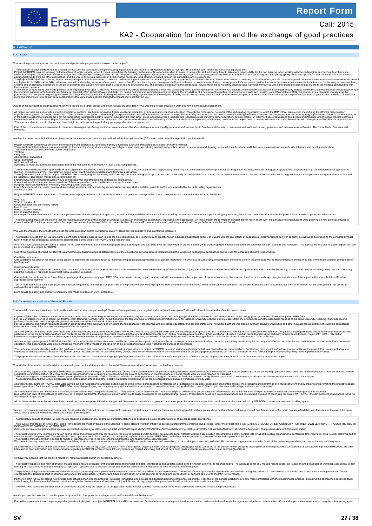

KA2 - Cooperation for innovation and the exchange of good practices

### 6. Follow-up

6.1. Impact

### What was the project's impact on the participants and participating organisations involved in the project?

The Erasmus+ project MPROPAL had a valuable imact on the paticipants and paticipating organisalisms and hopeluly his repert one and the method in the phetomate instants and reports. Which were the method in the performance

the education partners in Wilhelmshaven, Germany, especially BBS Wilhelmshaven and Jade HS. Xenter Botkyrka and Windesheim are investigating the possibilities of a next project regarding collaboration with trade and indust

### Outside of the participating organisations which were the project's target groups and other relevant stakeholders? What was the project's impact on them and how did the results reach them?

All project a details with specific educational contents. like higher education, higher vocations education, gymnasium and vocational education me professional education in the profession in the profession in the main of t

One or to second achievements to mention is also regarding offering inspiration, experience and hand-on strategies for municipality personnel and workers (as in Sweden and Germany), companies and trade and industry personn

How has the project contributed to the achievement of the most relevant priorities (as outlined in the description section)? To which extent was the expected impact reached?

Project IMROPAL had focus on one of the most important horizontal EU-priorities, rannely developing basic and transversal skills using innovative methods.<br>The project identified students own responsiblity in their beaming Transversal skills and competences require attention to: Thinking Language Application of knowledge Social interaction Attitudes and values,

محتملة)<br>https://ec.europa.europa.europa.eu/esco/portal/escopedia/Transversal\_knowledge\_44\_\_skills\_and\_competences<br>|ccording to https://ec.europa.eu/esco/portal/escopedia/Transversal\_knowledge\_44\_\_skills\_and\_competences

The innovative methods that project MPROPAL suggested for developing basic and transversal skills, in particular students' own responsibility in learning and entrepreneurish pinformeraning and relationing, were the pedagog

Project IMPROPAL attempted to build a Toolbox (www.impropal.eu/toolbox) for teachers where, to the greatest extent possible, these contributions are gathered under follo

What it is<br>What it contains of<br>Completed tests and preliminary results<br>How to train this ability<br>How to train this ability completed to the intrinsic particularities of each pedagogical approach, as well as the possibiliti The participating organisations believe that that be hold impact achieved by the project on awarge is at least in line with the expectations in the application, the work will continue as it meant producing a sfluctural cha dissemination. On the impact areas where the project was exceeding the expectations in the application, the work will continue as it meant producing a structural change that now has to be maintained.

### What was the impact of the project at the local, regional, European and/or international levels? Please provide qualitative and quantitative indicators.

The impact of property in the State and enterthore difficult to assess in an immediate ime perspective, as it is known by all practitioners in education that it takes about 3 to 5 years until the real effects of pedagogica

### What it is mportant to uphold in terms of impact at the current moment, is that the strategic partnership developed and sustained over the three years of project duration, was producing experience and competence outcomes f

One of the purposes of project IMPROPAL was that through disseminations at different levels of the educational systems achieve indications that the suggested pedagogical approaches can be used for increasing students' resp

Qualitative indicators<br>One qualitative indicator of the impact of the project is that there are decisions taken to implement the pedagogical approaches at all partner institutions. This will also assure a long term impact

Quantitative indicators<br>In terms of number of stakeholders in education that were participating in the projects disseminations, were reached by or were indirectly influenced by the project, is in line with the numbers cons

One website that includes the toolbox of the six pedagogical approaches of project IMPROPAL was created during project duration and will be maintained after project end. As pointed out above, the number of visitors of the Two or more scientific articles were published in respective journals, and will also be published on the project website www.impropal.eu. How the scientific community will react to the content presented in the articles is

More details on quality and quantity of impact will be made available on www.impropal.eu

6.2. Dissemination and Use of Projects' Results

inate the project results inside and outside your partnership? Please define in particular your targeted audience(s) at local/regional/national/EU level/international and explain your choices.

in project MPROPAL there was a main foust to reach out to leachers within higher education, vocational and higher vocational end the report of the term of other property in the term of the term of the term of the term of t

As it was pointed out before under other headlines of this final report, one achievement of project IMPROPAL was to have succeeded to disseminate the pedagogical approaches also to managerial and leadership representative

Another key group that project MPROPAL dentified as important to be in the audience of the different disseminations performed, were different mucleinly personnel and leaders, because usually they are deciding for the budge

The students may alter and/or who graduatd during project duration from the participaling organisations in project IMPROPAL, are also an important category that was reached by the disseminations of the mediator of the prod The project's disseminations were planned to reach and reached also the important target group of representatives from the trade and industry, companies of different sizes and employment categories, from all countries part

What kind of dissemination activities did your partnership carry out and through which channels? Please also provide information on the feedback received.

All participate of partical memory of the CPAL carried out local and regional disseminations. During these disseminations was changing of course during the project depending on progress made or if some results were up to b

At avider scale, during MPROPAL there were carried out also national and european disseminations in the form of participation to conferences in all participation content of the functional european or international laundary

As mentioned under other headlines of this report, disseminations were also performed during LTTAs so that' a local dissemination "to local or regional oculabrators got an european added value, due to be adequated and the all pedagogical approaches.

All the disseminations mentioned above took place during the whole project duration. Images and dissemination materials are uploaded on our webpage, because a fair presentation of all disseminations carried out by IMPROPAL

Erasmus+ promotes an open access requirement for all materials produced through its projects. In case your project has produced intellectual outputstrangible deliverables, please describe if and how you have promoted their

The intellectual outputs of project IMPROPAL are consisting of descriptions, examples of implementations and associated issues, regarding a total of six pedagogical approaches.

The results of this project in form of the Toolbox for teachers are made available in the Erasmus+ Project Results Platform (https://ec.europa.eu/programmes/erasmus-plus/projects/) under the project name INCREASING STUDENT s/projects/#search/kevword=Increasing%20students"%20responsibility%20for%20their%20own%20learning%20through%20the%20use%20of%20innovative%20pedagogical%20approaches&matchAllCountries=false

The project website www.impropal.eu has an open access and ontains not only the results of the project. Only and propied that including organisations in project IMPROPAL, and efforts are made to being able being able to en

As there will be a follow-up and/or onthuation regarding thom tany efforts mad buring project duration, in form of finding new project method on the veloping method of the ended by the steme of the search interessed someth

How have you ensured that the project's results will remain available and/or will be used by others?

The project webpage is one main damaking project results available for the target group after project end date. Martlenance and updates will be done by Xenter Bolkyka, as reported above. The webpage is not only making resu

The pedagoical appropsion to the member the strategic partnership are implemented at the partner institutions, and will be further implemented. The results of the ropical and to compute the specific entroposition in call t

Patners in MPROPAL developed new professional networks thanks to the Erasmus+ Strategic Partnership and also aquired dissemination and workshops, etc) and this can strongly support that project results will remain availabl The IMPROPAL team also identified several other ways of continuing the project or of using project results in other contexts (see below) and this would also create new ways of using the project results

How did you see the potential to use this project's approach in other projects on a larger scale and/or in a different field or area?

During the implementation of the pedagogical approaches highlighted in project IMPROPAL in the different levels and fields of education where project partners are active, and nevertheless through the regular and significan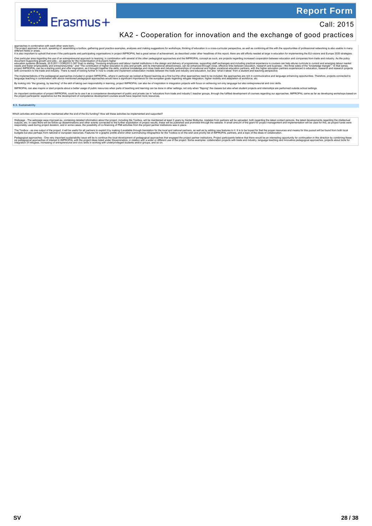



### KA2 - Cooperation for innovation and the exchange of good practices

approche in combination with ach other were born.<br>The project approced as such, speaking of assembling a toolbox, gathering good practice examples, analyses and making suggestions for workshops, thinking of education in ar

One particular area regarding the use of an enterpretrainal approach to learning, in combination with several of the other pedagogical approaches and the MPROPAL concept as such, are projects regarding increased cooperatio

The implementations of the pedagorial approaches included in project MPROPAL, where in particular we looked arting as a first but the other are provaches meed to be included, the endorse and any production endorse are endo

By looking into "the growing, by teaching" of the skill of taking own responsibility in learning, project IMPROPAL can also be of inspiration in integration projects with focus on achieving not only language but also entre

IMPROPAL can also inspire or start projects about a better usage of public resources when parts of teaching and learning can be done in other settings, not only when "flipping" the classes but also when student projects an

An important confinuation of projet IMPROPAL could be to use it as a competence development of public and private (as in "educators from trade and industry") teacher groups, through the fulfilled development correses regar

### 6.3. Sustainability

Which activities and results will be maintained after the end of the EU funding? How will these activities be implemented and supported?

Webpage - The webpage www.impropal.eu, containing detailed information about the project, including the Toolbox, will be maintained at least 3 years by Xenter Botkyrka. Updates from partners will be uploaded, both regardin

The Toubuck as one output of the project, it will be useful for all partners to exploit by maknailable through translation for the local and national partners, as well as by adding middle of the and or both shealth of the

Pedapogical approaches - One very important sustainability issue will be to continue the local development of pedagogical approaches that engaged the project partner institutions. Project partner instelligents believe that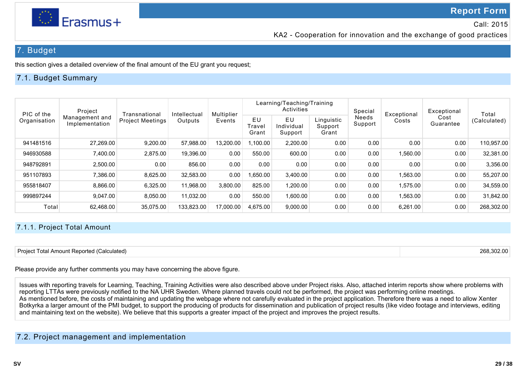

KA2 - Cooperation for innovation and the exchange of good practices

## 7. Budget

this section gives a detailed overview of the final amount of the EU grant you request;

### 7.1. Budget Summary

| Project<br>PIC of the<br>Organisation |                                  | Transnational           |            |           | Intellectual          | Multiplier                  | Learning/Teaching/Training<br>Activities |                  |          | Special           | Exceptional  | Exceptional | Total |
|---------------------------------------|----------------------------------|-------------------------|------------|-----------|-----------------------|-----------------------------|------------------------------------------|------------------|----------|-------------------|--------------|-------------|-------|
|                                       | Management and<br>Implementation | <b>Project Meetings</b> | Outputs    | Events    | EU<br>ʻravel<br>Grant | EU<br>Individual<br>Support | Linguistic<br>Support<br>Grant           | Needs<br>Support | Costs    | Cost<br>Guarantee | (Calculated) |             |       |
| 941481516                             | 27,269.00                        | 9,200.00                | 57,988.00  | 13.200.00 | .100.00               | 2,200.00                    | 0.00                                     | 0.00             | 0.00     | 0.00              | 110.957.00   |             |       |
| 946930588                             | 7,400.00                         | 2,875.00                | 19,396.00  | 0.00      | 550.00                | 600.00                      | 0.00                                     | 0.00             | 1,560.00 | 0.00              | 32.381.00    |             |       |
| 948792891                             | 2,500.00                         | 0.00                    | 856.00     | 0.00      | 0.00                  | 0.00                        | 0.00                                     | 0.00             | 0.00     | 0.00              | 3,356.00     |             |       |
| 951107893                             | 7,386.00                         | 8,625.00                | 32.583.00  | 0.00      | .650.00               | 3.400.00                    | 0.00                                     | 0.00             | 1.563.00 | 0.00              | 55.207.00    |             |       |
| 955818407                             | 8,866.00                         | 6,325.00                | 11,968.00  | 3,800.00  | 825.00                | 1,200.00                    | 0.00                                     | 0.00             | 1,575.00 | 0.00              | 34,559.00    |             |       |
| 999897244                             | 9,047.00                         | 8,050.00                | 11.032.00  | 0.00      | 550.00                | 1.600.00                    | 0.00                                     | 0.00             | 1,563.00 | 0.00              | 31.842.00    |             |       |
| Total                                 | 62.468.00                        | 35.075.00               | 133.823.00 | 17,000.00 | 4.675.00              | 9.000.00                    | 0.00                                     | 0.00             | 6.261.00 | 0.00              | 268.302.00   |             |       |

### 7.1.1. Project Total Amount

| Project Total Amount Reported (Calculated) | 268.302.00 |
|--------------------------------------------|------------|
|                                            |            |

Please provide any further comments you may have concerning the above figure.

Issues with reporting travels for Learning, Teaching, Training Activities were also described above under Project risks. Also, attached interim reports show where problems with reporting LTTAs were previously notified to the NA UHR Sweden. Where planned travels could not be performed, the project was performing online meetings. As mentioned before, the costs of maintaining and updating the webpage where not carefully evaluated in the project application. Therefore there was a need to allow Xenter Botkyrka a larger amount of the PMI budget, to support the producing of products for dissemination and publication of project results (like video footage and interviews, editing and maintaining text on the website). We believe that this supports a greater impact of the project and improves the project results.

### 7.2. Project management and implementation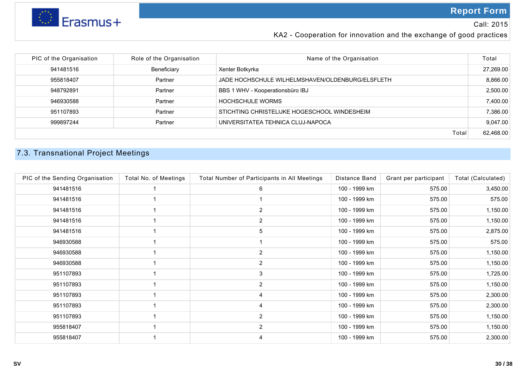

Call: 2015

KA2 - Cooperation for innovation and the exchange of good practices

| PIC of the Organisation<br>Role of the Organisation<br>Name of the Organisation | Total     |
|---------------------------------------------------------------------------------|-----------|
| Beneficiary<br>941481516<br>Xenter Botkyrka                                     | 27.269.00 |
| 955818407<br>Partner<br>JADE HOCHSCHULE WILHELMSHAVEN/OLDENBURG/ELSFLETH        | 8,866.00  |
| BBS 1 WHV - Kooperationsbüro IBJ<br>Partner<br>948792891                        | 2,500.00  |
| 946930588<br><b>HOCHSCHULE WORMS</b><br>Partner                                 | 7,400.00  |
| STICHTING CHRISTELIJKE HOGESCHOOL WINDESHEIM<br>951107893<br>Partner            | 7,386.00  |
| UNIVERSITATEA TEHNICA CLUJ-NAPOCA<br>999897244<br>Partner                       | 9,047.00  |
| Total                                                                           | 62,468.00 |

# 7.3. Transnational Project Meetings

| PIC of the Sending Organisation | Total No. of Meetings | Total Number of Participants in All Meetings | Distance Band | Grant per participant | Total (Calculated) |
|---------------------------------|-----------------------|----------------------------------------------|---------------|-----------------------|--------------------|
| 941481516                       |                       | 6                                            | 100 - 1999 km | 575.00                | 3,450.00           |
| 941481516                       |                       |                                              | 100 - 1999 km | 575.00                | 575.00             |
| 941481516                       |                       | $\overline{2}$                               | 100 - 1999 km | 575.00                | 1,150.00           |
| 941481516                       |                       | 2                                            | 100 - 1999 km | 575.00                | 1,150.00           |
| 941481516                       |                       | 5                                            | 100 - 1999 km | 575.00                | 2,875.00           |
| 946930588                       |                       |                                              | 100 - 1999 km | 575.00                | 575.00             |
| 946930588                       |                       | $\overline{2}$                               | 100 - 1999 km | 575.00                | 1,150.00           |
| 946930588                       |                       | $\overline{2}$                               | 100 - 1999 km | 575.00                | 1,150.00           |
| 951107893                       |                       | 3                                            | 100 - 1999 km | 575.00                | 1,725.00           |
| 951107893                       |                       | $\overline{2}$                               | 100 - 1999 km | 575.00                | 1,150.00           |
| 951107893                       |                       | 4                                            | 100 - 1999 km | 575.00                | 2,300.00           |
| 951107893                       |                       | 4                                            | 100 - 1999 km | 575.00                | 2,300.00           |
| 951107893                       |                       | $\overline{2}$                               | 100 - 1999 km | 575.00                | 1,150.00           |
| 955818407                       |                       | $\overline{2}$                               | 100 - 1999 km | 575.00                | 1,150.00           |
| 955818407                       |                       | 4                                            | 100 - 1999 km | 575.00                | 2,300.00           |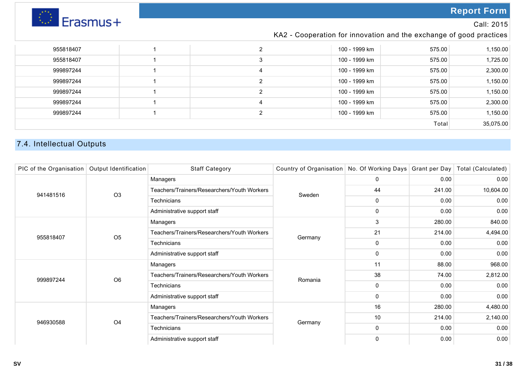

### Call: 2015

### KA2 - Cooperation for innovation and the exchange of good practices

| 955818407 |  |   | 100 - 1999 km | 575.00 | 1,150.00 |  |
|-----------|--|---|---------------|--------|----------|--|
| 955818407 |  | 3 | 100 - 1999 km | 575.00 | 1,725.00 |  |
| 999897244 |  |   | 100 - 1999 km | 575.00 | 2,300.00 |  |
| 999897244 |  | ◠ | 100 - 1999 km | 575.00 | 1,150.00 |  |
| 999897244 |  |   | 100 - 1999 km | 575.00 | 1,150.00 |  |
| 999897244 |  | 4 | 100 - 1999 km | 575.00 | 2,300.00 |  |
| 999897244 |  | າ | 100 - 1999 km | 575.00 | 1,150.00 |  |
| Total     |  |   |               |        |          |  |

## 7.4. Intellectual Outputs

| PIC of the Organisation | Output Identification | <b>Staff Category</b>                       | Country of Organisation No. Of Working Days Grant per Day Total (Calculated) |              |        |           |
|-------------------------|-----------------------|---------------------------------------------|------------------------------------------------------------------------------|--------------|--------|-----------|
|                         |                       | Managers                                    |                                                                              | 0            | 0.00   | 0.00      |
| 941481516               | O <sub>3</sub>        | Teachers/Trainers/Researchers/Youth Workers | Sweden                                                                       | 44           | 241.00 | 10,604.00 |
|                         |                       | Technicians                                 |                                                                              | $\mathbf 0$  | 0.00   | 0.00      |
|                         |                       | Administrative support staff                |                                                                              | $\mathbf 0$  | 0.00   | 0.00      |
|                         |                       | Managers                                    |                                                                              | 3            | 280.00 | 840.00    |
| 955818407               | O <sub>5</sub>        | Teachers/Trainers/Researchers/Youth Workers | Germany                                                                      | 21           | 214.00 | 4,494.00  |
|                         |                       | Technicians                                 |                                                                              | $\mathbf 0$  | 0.00   | 0.00      |
|                         |                       | Administrative support staff                |                                                                              | $\mathbf 0$  | 0.00   | 0.00      |
|                         |                       | Managers                                    |                                                                              | 11           | 88.00  | 968.00    |
| 999897244               | O <sub>6</sub>        | Teachers/Trainers/Researchers/Youth Workers | Romania                                                                      | 38           | 74.00  | 2,812.00  |
|                         |                       | Technicians                                 |                                                                              | $\Omega$     | 0.00   | 0.00      |
|                         |                       | Administrative support staff                |                                                                              | $\mathbf 0$  | 0.00   | 0.00      |
|                         |                       | Managers                                    |                                                                              | 16           | 280.00 | 4,480.00  |
| 946930588               | O <sub>4</sub>        | Teachers/Trainers/Researchers/Youth Workers | Germany                                                                      | 10           | 214.00 | 2,140.00  |
|                         |                       | Technicians                                 |                                                                              | $\mathbf 0$  | 0.00   | 0.00      |
|                         |                       | Administrative support staff                |                                                                              | $\mathbf{0}$ | 0.00   | 0.00      |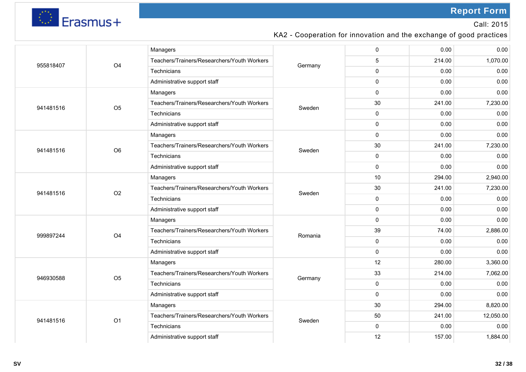

Call: 2015

## KA2 - Cooperation for innovation and the exchange of good practices

|           |                | Managers                                    |         | 0        | 0.00   | 0.00      |
|-----------|----------------|---------------------------------------------|---------|----------|--------|-----------|
| 955818407 | O <sub>4</sub> | Teachers/Trainers/Researchers/Youth Workers | Germany | 5        | 214.00 | 1,070.00  |
|           |                | Technicians                                 |         | 0        | 0.00   | 0.00      |
|           |                | Administrative support staff                |         | 0        | 0.00   | 0.00      |
|           |                | Managers                                    |         | 0        | 0.00   | 0.00      |
| 941481516 | O <sub>5</sub> | Teachers/Trainers/Researchers/Youth Workers | Sweden  | 30       | 241.00 | 7,230.00  |
|           |                | Technicians                                 |         | 0        | 0.00   | 0.00      |
|           |                | Administrative support staff                |         | 0        | 0.00   | 0.00      |
|           |                | Managers                                    |         | $\Omega$ | 0.00   | 0.00      |
| 941481516 | O <sub>6</sub> | Teachers/Trainers/Researchers/Youth Workers |         | 30       | 241.00 | 7,230.00  |
|           |                | Technicians                                 | Sweden  | 0        | 0.00   | 0.00      |
|           |                | Administrative support staff                |         | 0        | 0.00   | 0.00      |
|           | O <sub>2</sub> | Managers                                    | Sweden  | 10       | 294.00 | 2,940.00  |
|           |                | Teachers/Trainers/Researchers/Youth Workers |         | 30       | 241.00 | 7,230.00  |
| 941481516 |                | Technicians                                 |         | 0        | 0.00   | 0.00      |
|           |                | Administrative support staff                |         | 0        | 0.00   | 0.00      |
|           |                | Managers                                    | Romania | 0        | 0.00   | 0.00      |
| 999897244 | O <sub>4</sub> | Teachers/Trainers/Researchers/Youth Workers |         | 39       | 74.00  | 2,886.00  |
|           |                | Technicians                                 |         | 0        | 0.00   | 0.00      |
|           |                | Administrative support staff                |         | 0        | 0.00   | 0.00      |
|           |                | Managers                                    |         | 12       | 280.00 | 3,360.00  |
| 946930588 | O <sub>5</sub> | Teachers/Trainers/Researchers/Youth Workers |         | 33       | 214.00 | 7,062.00  |
|           |                | Technicians                                 | Germany | 0        | 0.00   | 0.00      |
|           |                | Administrative support staff                |         | 0        | 0.00   | 0.00      |
|           |                | Managers                                    |         | 30       | 294.00 | 8,820.00  |
|           | O <sub>1</sub> | Teachers/Trainers/Researchers/Youth Workers |         | 50       | 241.00 | 12,050.00 |
| 941481516 |                | Technicians                                 | Sweden  | 0        | 0.00   | 0.00      |
|           |                | Administrative support staff                |         | 12       | 157.00 | 1,884.00  |
|           |                |                                             |         |          |        |           |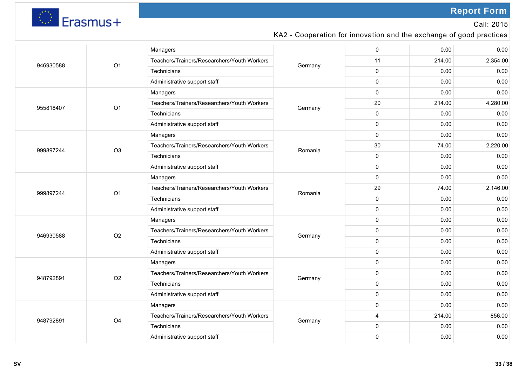

Call: 2015

## KA2 - Cooperation for innovation and the exchange of good practices

|           |                | Managers                                    |         | 0              | 0.00   | 0.00     |
|-----------|----------------|---------------------------------------------|---------|----------------|--------|----------|
| 946930588 | O1             | Teachers/Trainers/Researchers/Youth Workers | Germany | 11             | 214.00 | 2,354.00 |
|           |                | Technicians                                 |         | $\mathbf 0$    | 0.00   | 0.00     |
|           |                | Administrative support staff                |         | $\mathbf 0$    | 0.00   | 0.00     |
|           |                | Managers                                    |         | $\mathbf 0$    | 0.00   | 0.00     |
| 955818407 | O <sub>1</sub> | Teachers/Trainers/Researchers/Youth Workers | Germany | 20             | 214.00 | 4,280.00 |
|           |                | Technicians                                 |         | $\mathbf 0$    | 0.00   | 0.00     |
|           |                | Administrative support staff                |         | $\mathbf 0$    | 0.00   | 0.00     |
|           |                | Managers                                    |         | $\mathbf{0}$   | 0.00   | 0.00     |
| 999897244 | O <sub>3</sub> | Teachers/Trainers/Researchers/Youth Workers | Romania | 30             | 74.00  | 2,220.00 |
|           |                | Technicians                                 |         | 0              | 0.00   | 0.00     |
|           |                | Administrative support staff                |         | $\mathbf 0$    | 0.00   | 0.00     |
|           | O <sub>1</sub> | Managers                                    | Romania | $\mathbf 0$    | 0.00   | 0.00     |
|           |                | Teachers/Trainers/Researchers/Youth Workers |         | 29             | 74.00  | 2,146.00 |
| 999897244 |                | Technicians                                 |         | $\mathbf{0}$   | 0.00   | 0.00     |
|           |                | Administrative support staff                |         | $\mathbf{0}$   | 0.00   | 0.00     |
|           |                | Managers                                    | Germany | $\mathsf 0$    | 0.00   | 0.00     |
| 946930588 | O <sub>2</sub> | Teachers/Trainers/Researchers/Youth Workers |         | $\mathbf 0$    | 0.00   | 0.00     |
|           |                | Technicians                                 |         | $\mathbf 0$    | 0.00   | 0.00     |
|           |                | Administrative support staff                |         | $\mathbf 0$    | 0.00   | 0.00     |
|           |                | Managers                                    |         | $\mathbf 0$    | 0.00   | 0.00     |
| 948792891 | O <sub>2</sub> | Teachers/Trainers/Researchers/Youth Workers |         | $\mathbf 0$    | 0.00   | 0.00     |
|           |                | Technicians                                 | Germany | $\pmb{0}$      | 0.00   | 0.00     |
|           |                | Administrative support staff                |         | $\mathbf 0$    | 0.00   | 0.00     |
|           |                | Managers                                    |         | $\mathbf 0$    | 0.00   | 0.00     |
|           | O <sub>4</sub> | Teachers/Trainers/Researchers/Youth Workers |         | $\overline{4}$ | 214.00 | 856.00   |
| 948792891 |                | Technicians                                 | Germany | $\mathbf 0$    | 0.00   | 0.00     |
|           |                | Administrative support staff                |         | $\mathbf 0$    | 0.00   | 0.00     |
|           |                |                                             |         |                |        |          |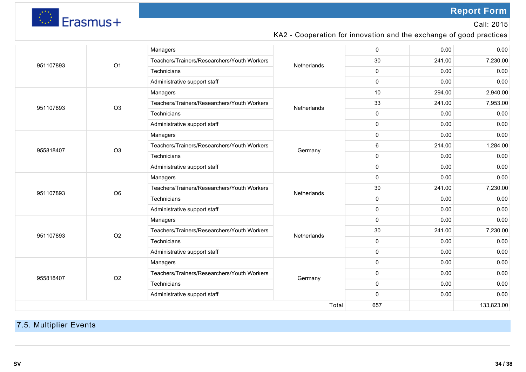

Call: 2015

### KA2 - Cooperation for innovation and the exchange of good practices

|              |                | Managers                                    |             | 0            | 0.00   | 0.00     |  |
|--------------|----------------|---------------------------------------------|-------------|--------------|--------|----------|--|
| 951107893    | O <sub>1</sub> | Teachers/Trainers/Researchers/Youth Workers | Netherlands | 30           | 241.00 | 7,230.00 |  |
|              |                | Technicians                                 |             | $\mathbf{0}$ | 0.00   | 0.00     |  |
|              |                | Administrative support staff                |             | $\mathbf{0}$ | 0.00   | 0.00     |  |
|              |                | Managers                                    |             | 10           | 294.00 | 2,940.00 |  |
| 951107893    | O <sub>3</sub> | Teachers/Trainers/Researchers/Youth Workers | Netherlands | 33           | 241.00 | 7,953.00 |  |
|              |                | Technicians                                 |             | $\mathbf{0}$ | 0.00   | 0.00     |  |
|              |                | Administrative support staff                |             | 0            | 0.00   | 0.00     |  |
|              |                | Managers                                    |             | 0            | 0.00   | 0.00     |  |
| 955818407    | O <sub>3</sub> | Teachers/Trainers/Researchers/Youth Workers | Germany     | 6            | 214.00 | 1,284.00 |  |
|              |                | Technicians                                 |             | 0            | 0.00   | 0.00     |  |
|              |                | Administrative support staff                |             | 0            | 0.00   | 0.00     |  |
|              |                | Managers                                    |             | 0            | 0.00   | 0.00     |  |
| 951107893    | O <sub>6</sub> | Teachers/Trainers/Researchers/Youth Workers | Netherlands | 30           | 241.00 | 7,230.00 |  |
|              |                | Technicians                                 |             | 0            | 0.00   | 0.00     |  |
|              |                | Administrative support staff                |             | 0            | 0.00   | 0.00     |  |
|              |                | Managers                                    |             | $\mathbf{0}$ | 0.00   | 0.00     |  |
| 951107893    | O <sub>2</sub> | Teachers/Trainers/Researchers/Youth Workers | Netherlands | 30           | 241.00 | 7,230.00 |  |
|              |                | Technicians                                 |             | 0            | 0.00   | 0.00     |  |
|              |                | Administrative support staff                |             | $\mathbf 0$  | 0.00   | 0.00     |  |
|              |                | Managers                                    |             | 0            | 0.00   | 0.00     |  |
| 955818407    | O <sub>2</sub> | Teachers/Trainers/Researchers/Youth Workers | Germany     | 0            | 0.00   | 0.00     |  |
|              |                | Technicians                                 |             | 0            | 0.00   | 0.00     |  |
|              |                | Administrative support staff                |             | 0            | 0.00   | 0.00     |  |
| Total<br>657 |                |                                             |             |              |        |          |  |
|              |                |                                             |             |              |        |          |  |

## 7.5. Multiplier Events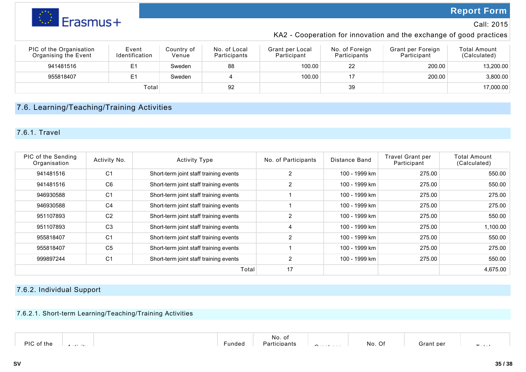

### Call: 2015

### KA2 - Cooperation for innovation and the exchange of good practices

| PIC of the Organisation<br>Organising the Event | Event<br><b>Identification</b> | Country of<br>Venue | No. of Local<br>Participants | Grant per Local<br>Participant | No. of Foreign<br>Participants | Grant per Foreign<br>Participant | <b>Total Amount</b><br>(Calculated) |
|-------------------------------------------------|--------------------------------|---------------------|------------------------------|--------------------------------|--------------------------------|----------------------------------|-------------------------------------|
| 941481516                                       | F <sub>1</sub>                 | Sweden              | 88                           | 100.00                         | 22                             | 200.00                           | 13,200.00                           |
| 955818407                                       |                                | Sweden              |                              | 100.00                         |                                | 200.00                           | 3,800.00                            |
|                                                 | Total <sub>1</sub>             |                     | 92                           |                                | 39                             |                                  | 17,000.00                           |

### 7.6. Learning/Teaching/Training Activities

### 7.6.1. Travel

| PIC of the Sending<br>Organisation | Activity No.   | <b>Activity Type</b>                   | No. of Participants | Distance Band | Travel Grant per<br>Participant | Total Amount<br>(Calculated) |
|------------------------------------|----------------|----------------------------------------|---------------------|---------------|---------------------------------|------------------------------|
| 941481516                          | C <sub>1</sub> | Short-term joint staff training events | 2                   | 100 - 1999 km | 275.00                          | 550.00                       |
| 941481516                          | C <sub>6</sub> | Short-term joint staff training events | 2                   | 100 - 1999 km | 275.00                          | 550.00                       |
| 946930588                          | C <sub>1</sub> | Short-term joint staff training events |                     | 100 - 1999 km | 275.00                          | 275.00                       |
| 946930588                          | C <sub>4</sub> | Short-term joint staff training events |                     | 100 - 1999 km | 275.00                          | 275.00                       |
| 951107893                          | C <sub>2</sub> | Short-term joint staff training events | 2                   | 100 - 1999 km | 275.00                          | 550.00                       |
| 951107893                          | C <sub>3</sub> | Short-term joint staff training events | $\overline{4}$      | 100 - 1999 km | 275.00                          | 1,100.00                     |
| 955818407                          | C <sub>1</sub> | Short-term joint staff training events | 2                   | 100 - 1999 km | 275.00                          | 550.00                       |
| 955818407                          | C <sub>5</sub> | Short-term joint staff training events |                     | 100 - 1999 km | 275.00                          | 275.00                       |
| 999897244                          | C <sub>1</sub> | Short-term joint staff training events | 2                   | 100 - 1999 km | 275.00                          | 550.00                       |
|                                    |                | Total                                  | 17                  |               |                                 | 4,675.00                     |

### 7.6.2. Individual Support

### 7.6.2.1. Short-term Learning/Teaching/Training Activities

| DIC<br>f the<br>. | unded- | No. of<br>:ibants<br>$\overline{\phantom{a}}$<br>aı | - | $\sim$ $\sim$<br>No.<br>_U† | -ron<br>лан | $\sim$ |  |
|-------------------|--------|-----------------------------------------------------|---|-----------------------------|-------------|--------|--|
|-------------------|--------|-----------------------------------------------------|---|-----------------------------|-------------|--------|--|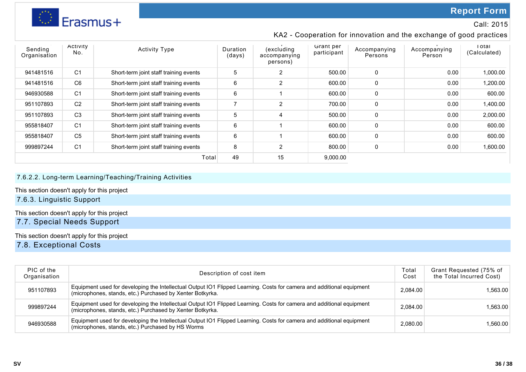

### Call: 2015

### KA2 - Cooperation for innovation and the exchange of good practices

| Sending<br>Organisation | ACTIVITY<br>No. | <b>Activity Type</b>                   | Duration<br>(days) | (excluding<br>accompanying<br>persons) | Grant per<br>participant | Accompanying<br>Persons | Accompanying<br>Person | i otal<br>(Calculated) |
|-------------------------|-----------------|----------------------------------------|--------------------|----------------------------------------|--------------------------|-------------------------|------------------------|------------------------|
| 941481516               | C <sub>1</sub>  | Short-term joint staff training events | 5                  | 2                                      | 500.00                   | 0                       | 0.00                   | 1,000.00               |
| 941481516               | C <sub>6</sub>  | Short-term joint staff training events | 6                  | 2                                      | 600.00                   | 0                       | 0.00                   | 1.200.00               |
| 946930588               | C <sub>1</sub>  | Short-term joint staff training events | 6                  |                                        | 600.00                   | 0                       | 0.00                   | 600.00                 |
| 951107893               | C <sub>2</sub>  | Short-term joint staff training events | 7                  | 2                                      | 700.00                   | 0                       | 0.00                   | 1,400.00               |
| 951107893               | C <sub>3</sub>  | Short-term joint staff training events | 5                  | 4                                      | 500.00                   | 0                       | 0.00                   | 2,000.00               |
| 955818407               | C <sub>1</sub>  | Short-term joint staff training events | 6                  |                                        | 600.00                   | 0                       | 0.00                   | 600.00                 |
| 955818407               | C <sub>5</sub>  | Short-term joint staff training events | 6                  |                                        | 600.00                   | 0                       | 0.00                   | 600.00                 |
| 999897244               | C <sub>1</sub>  | Short-term joint staff training events | 8                  | $\overline{2}$                         | 800.00                   | 0                       | 0.00                   | 1,600.00               |
|                         |                 | Total                                  | 49                 | 15                                     | 9,000.00                 |                         |                        |                        |

### 7.6.2.2. Long-term Learning/Teaching/Training Activities

This section doesn't apply for this project

### 7.6.3. Linguistic Support

This section doesn't apply for this project

7.7. Special Needs Support

This section doesn't apply for this project

7.8. Exceptional Costs

| PIC of the<br>Organisation | Description of cost item                                                                                                                                                           | Гоtal<br>Cost | Grant Requested (75% of<br>the Total Incurred Cost) |
|----------------------------|------------------------------------------------------------------------------------------------------------------------------------------------------------------------------------|---------------|-----------------------------------------------------|
| 951107893                  | Equipment used for developing the Intellectual Output IO1 Flipped Learning. Costs for camera and additional equipment<br>(microphones, stands, etc.) Purchased by Xenter Botkyrka. | 2,084.00      | 1.563.00                                            |
| 999897244                  | Equipment used for developing the Intellectual Output IO1 Flipped Learning. Costs for camera and additional equipment<br>(microphones, stands, etc.) Purchased by Xenter Botkyrka. | 2.084.00      | 1,563.00                                            |
| 946930588                  | Equipment used for developing the Intellectual Output IO1 Flipped Learning. Costs for camera and additional equipment<br>(microphones, stands, etc.) Purchased by HS Worms         | 2,080.00      | 1,560.00                                            |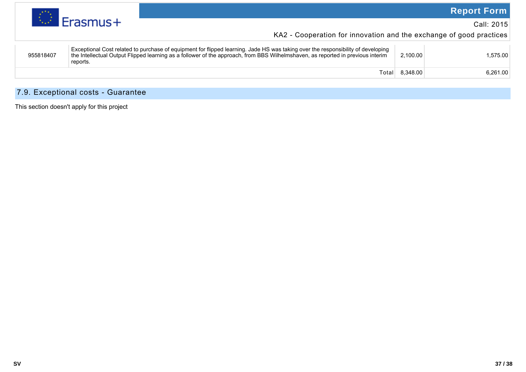

### Call: 2015

KA2 - Cooperation for innovation and the exchange of good practices

| 8.348.00<br>Total | 955818407 | Exceptional Cost related to purchase of equipment for flipped learning. Jade HS was taking over the responsibility of developing<br>the Intellectual Output Flipped learning as a follower of the approach, from BBS Wilhelmshaven, as reported in previous interim<br>reports. | 2.100.00 | 1.575.00 |
|-------------------|-----------|---------------------------------------------------------------------------------------------------------------------------------------------------------------------------------------------------------------------------------------------------------------------------------|----------|----------|
|                   |           |                                                                                                                                                                                                                                                                                 |          | 6.261.00 |

### 7.9. Exceptional costs - Guarantee

This section doesn't apply for this project